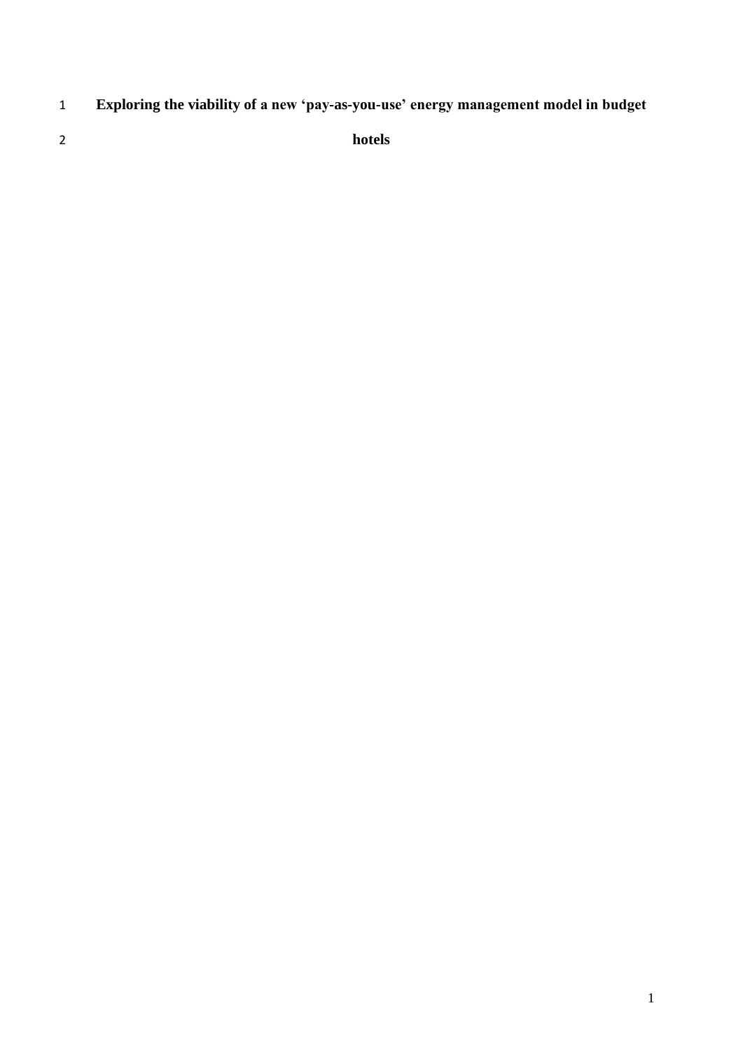- **Exploring the viability of a new 'pay-as-you-use' energy management model in budget**
- 

**hotels**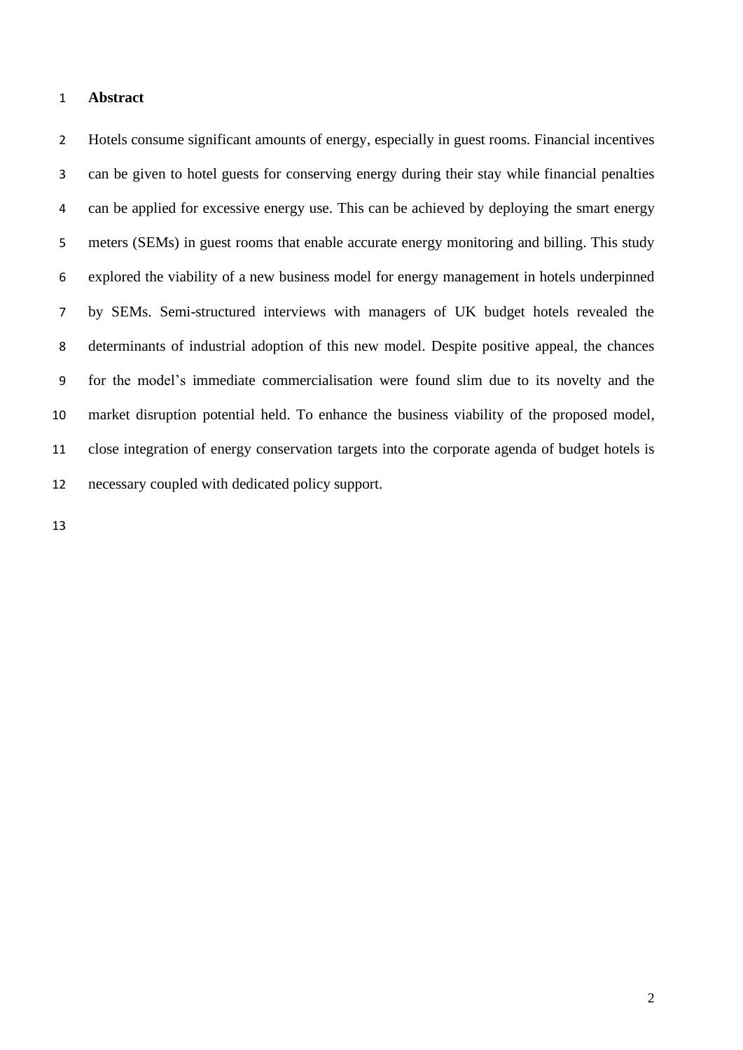## **Abstract**

 Hotels consume significant amounts of energy, especially in guest rooms. Financial incentives can be given to hotel guests for conserving energy during their stay while financial penalties can be applied for excessive energy use. This can be achieved by deploying the smart energy meters (SEMs) in guest rooms that enable accurate energy monitoring and billing. This study explored the viability of a new business model for energy management in hotels underpinned by SEMs. Semi-structured interviews with managers of UK budget hotels revealed the determinants of industrial adoption of this new model. Despite positive appeal, the chances for the model's immediate commercialisation were found slim due to its novelty and the market disruption potential held. To enhance the business viability of the proposed model, close integration of energy conservation targets into the corporate agenda of budget hotels is necessary coupled with dedicated policy support.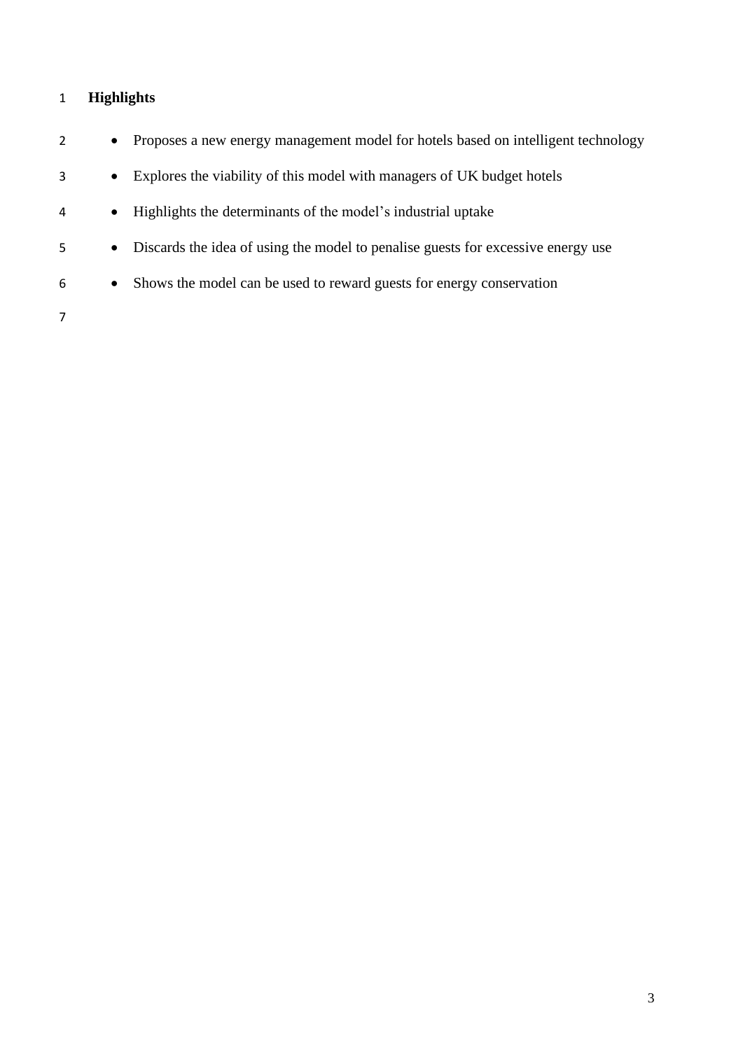# **Highlights**

| 2 | $\bullet$ | Proposes a new energy management model for hotels based on intelligent technology |
|---|-----------|-----------------------------------------------------------------------------------|
| 3 | $\bullet$ | Explores the viability of this model with managers of UK budget hotels            |
| 4 | $\bullet$ | Highlights the determinants of the model's industrial uptake                      |
| 5 | $\bullet$ | Discards the idea of using the model to penalise guests for excessive energy use  |
| 6 | $\bullet$ | Shows the model can be used to reward guests for energy conservation              |
|   |           |                                                                                   |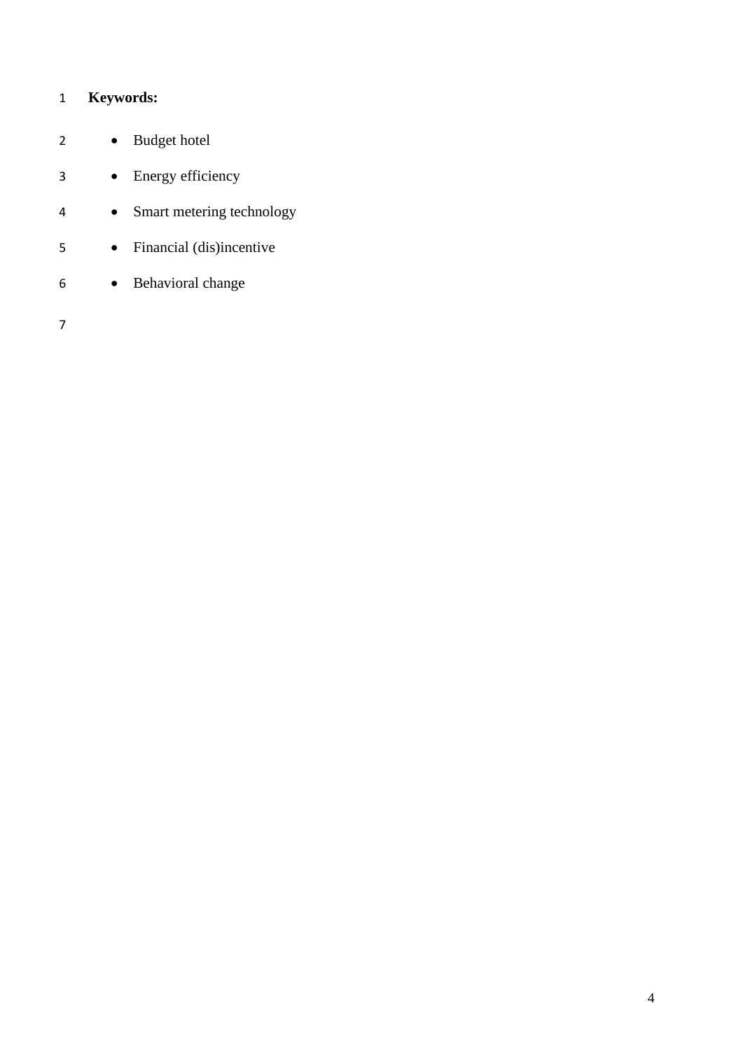# **Keywords:**

| 2 | Budget hotel              |
|---|---------------------------|
| 3 | Energy efficiency         |
| 4 | Smart metering technology |
| 5 | Financial (dis)incentive  |
| 6 | Behavioral change         |
|   |                           |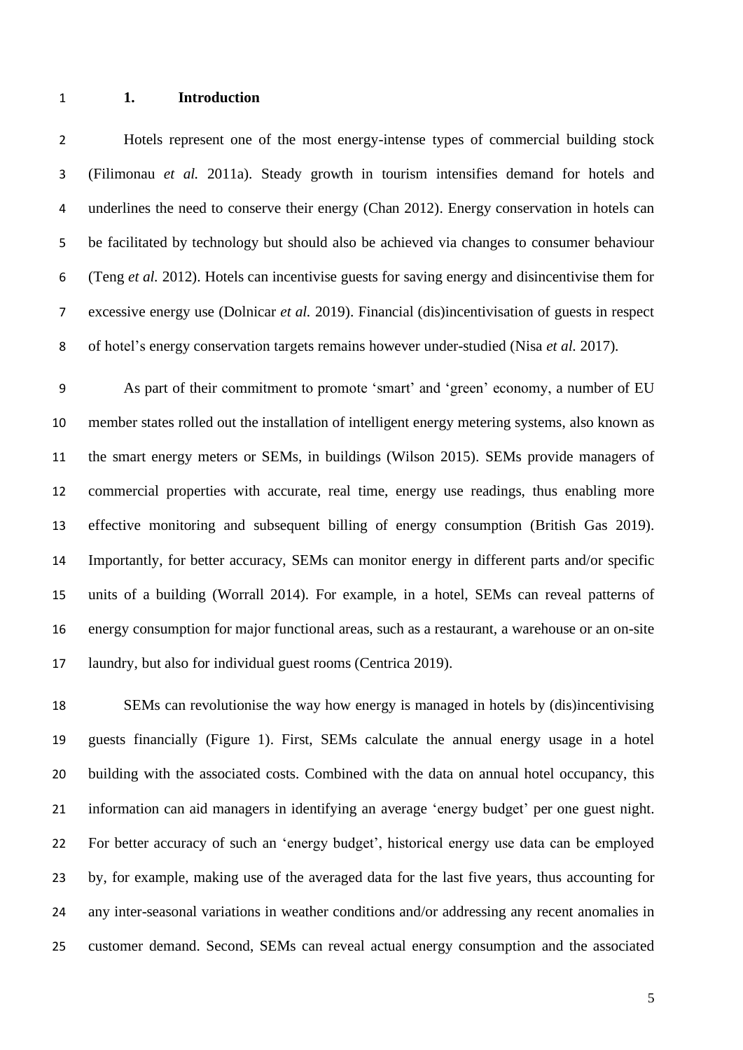### **1. Introduction**

 Hotels represent one of the most energy-intense types of commercial building stock (Filimonau *et al.* 2011a). Steady growth in tourism intensifies demand for hotels and 4 underlines the need to conserve their energy (Chan 2012). Energy conservation in hotels can be facilitated by technology but should also be achieved via changes to consumer behaviour (Teng *et al.* 2012). Hotels can incentivise guests for saving energy and disincentivise them for excessive energy use (Dolnicar *et al.* 2019). Financial (dis)incentivisation of guests in respect of hotel's energy conservation targets remains however under-studied (Nisa *et al.* 2017).

 As part of their commitment to promote 'smart' and 'green' economy, a number of EU member states rolled out the installation of intelligent energy metering systems, also known as the smart energy meters or SEMs, in buildings (Wilson 2015). SEMs provide managers of commercial properties with accurate, real time, energy use readings, thus enabling more effective monitoring and subsequent billing of energy consumption (British Gas 2019). Importantly, for better accuracy, SEMs can monitor energy in different parts and/or specific units of a building (Worrall 2014). For example, in a hotel, SEMs can reveal patterns of energy consumption for major functional areas, such as a restaurant, a warehouse or an on-site laundry, but also for individual guest rooms (Centrica 2019).

 SEMs can revolutionise the way how energy is managed in hotels by (dis)incentivising guests financially (Figure 1). First, SEMs calculate the annual energy usage in a hotel building with the associated costs. Combined with the data on annual hotel occupancy, this information can aid managers in identifying an average 'energy budget' per one guest night. For better accuracy of such an 'energy budget', historical energy use data can be employed by, for example, making use of the averaged data for the last five years, thus accounting for any inter-seasonal variations in weather conditions and/or addressing any recent anomalies in customer demand. Second, SEMs can reveal actual energy consumption and the associated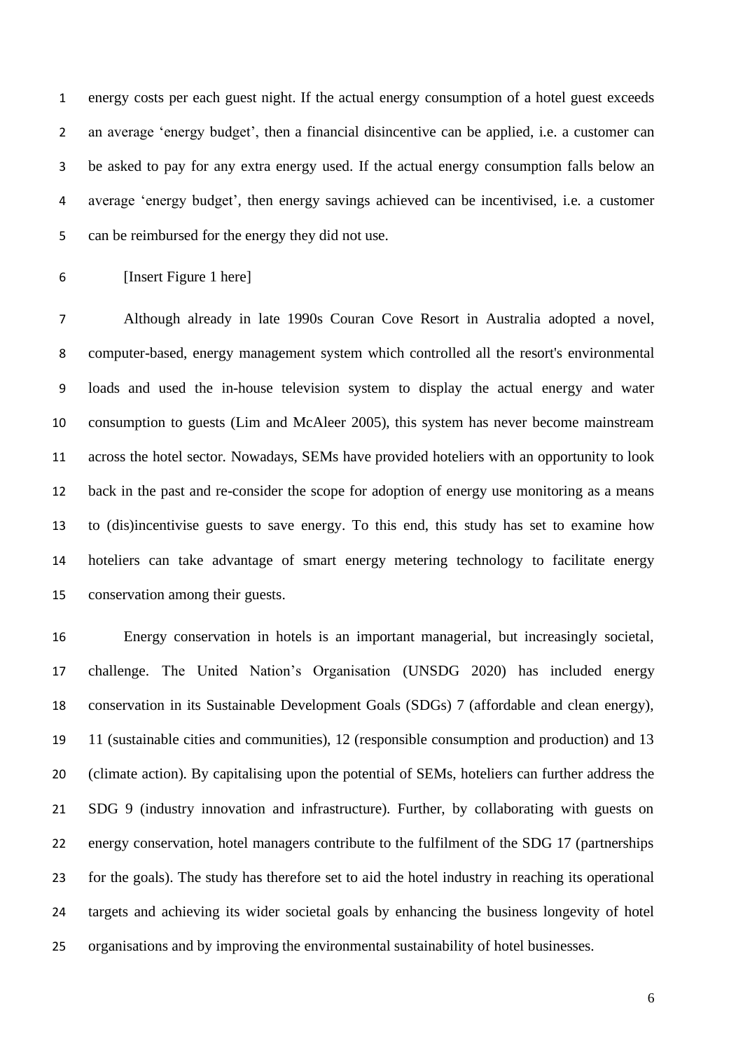energy costs per each guest night. If the actual energy consumption of a hotel guest exceeds an average 'energy budget', then a financial disincentive can be applied, i.e. a customer can be asked to pay for any extra energy used. If the actual energy consumption falls below an average 'energy budget', then energy savings achieved can be incentivised, i.e. a customer can be reimbursed for the energy they did not use.

[Insert Figure 1 here]

 Although already in late 1990s Couran Cove Resort in Australia adopted a novel, computer-based, energy management system which controlled all the resort's environmental loads and used the in-house television system to display the actual energy and water consumption to guests (Lim and McAleer 2005), this system has never become mainstream across the hotel sector. Nowadays, SEMs have provided hoteliers with an opportunity to look back in the past and re-consider the scope for adoption of energy use monitoring as a means to (dis)incentivise guests to save energy. To this end, this study has set to examine how hoteliers can take advantage of smart energy metering technology to facilitate energy conservation among their guests.

 Energy conservation in hotels is an important managerial, but increasingly societal, challenge. The United Nation's Organisation (UNSDG 2020) has included energy conservation in its Sustainable Development Goals (SDGs) 7 (affordable and clean energy), 11 (sustainable cities and communities), 12 (responsible consumption and production) and 13 (climate action). By capitalising upon the potential of SEMs, hoteliers can further address the SDG 9 (industry innovation and infrastructure). Further, by collaborating with guests on energy conservation, hotel managers contribute to the fulfilment of the SDG 17 (partnerships for the goals). The study has therefore set to aid the hotel industry in reaching its operational targets and achieving its wider societal goals by enhancing the business longevity of hotel organisations and by improving the environmental sustainability of hotel businesses.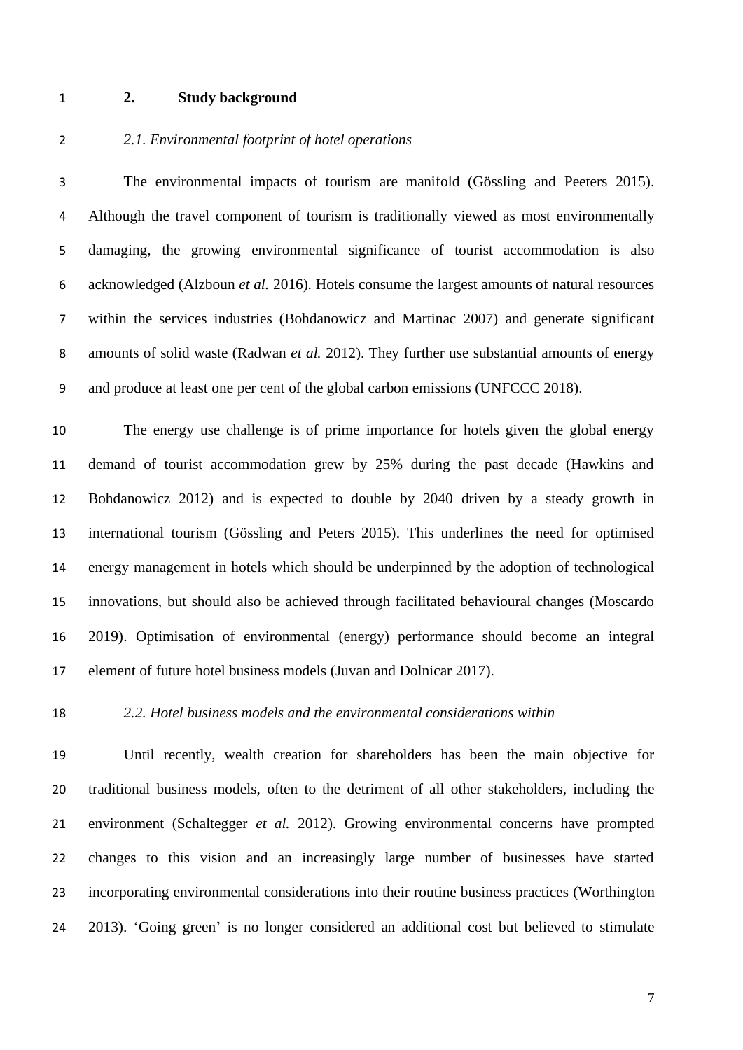# **2. Study background**

# *2.1. Environmental footprint of hotel operations*

 The environmental impacts of tourism are manifold (Gössling and Peeters 2015). Although the travel component of tourism is traditionally viewed as most environmentally damaging, the growing environmental significance of tourist accommodation is also acknowledged (Alzboun *et al.* 2016). Hotels consume the largest amounts of natural resources within the services industries (Bohdanowicz and Martinac 2007) and generate significant amounts of solid waste (Radwan *et al.* 2012). They further use substantial amounts of energy and produce at least one per cent of the global carbon emissions (UNFCCC 2018).

 The energy use challenge is of prime importance for hotels given the global energy demand of tourist accommodation grew by 25% during the past decade (Hawkins and Bohdanowicz 2012) and is expected to double by 2040 driven by a steady growth in international tourism (Gössling and Peters 2015). This underlines the need for optimised energy management in hotels which should be underpinned by the adoption of technological innovations, but should also be achieved through facilitated behavioural changes (Moscardo 2019). Optimisation of environmental (energy) performance should become an integral element of future hotel business models (Juvan and Dolnicar 2017).

# *2.2. Hotel business models and the environmental considerations within*

 Until recently, wealth creation for shareholders has been the main objective for traditional business models, often to the detriment of all other stakeholders, including the environment (Schaltegger *et al.* 2012). Growing environmental concerns have prompted changes to this vision and an increasingly large number of businesses have started incorporating environmental considerations into their routine business practices (Worthington 2013). 'Going green' is no longer considered an additional cost but believed to stimulate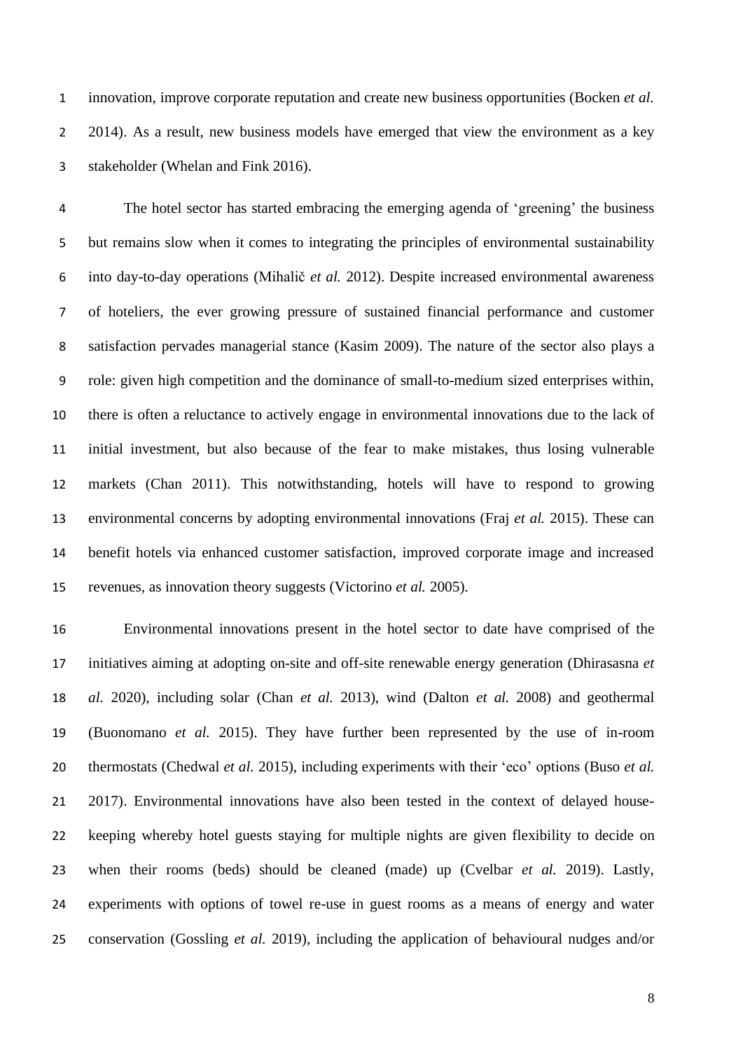innovation, improve corporate reputation and create new business opportunities (Bocken *et al.* 2 2014). As a result, new business models have emerged that view the environment as a key stakeholder (Whelan and Fink 2016).

 The hotel sector has started embracing the emerging agenda of 'greening' the business but remains slow when it comes to integrating the principles of environmental sustainability into day-to-day operations (Mihalič *et al.* 2012). Despite increased environmental awareness of hoteliers, the ever growing pressure of sustained financial performance and customer satisfaction pervades managerial stance (Kasim 2009). The nature of the sector also plays a role: given high competition and the dominance of small-to-medium sized enterprises within, there is often a reluctance to actively engage in environmental innovations due to the lack of initial investment, but also because of the fear to make mistakes, thus losing vulnerable markets (Chan 2011). This notwithstanding, hotels will have to respond to growing environmental concerns by adopting environmental innovations (Fraj *et al.* 2015). These can benefit hotels via enhanced customer satisfaction, improved corporate image and increased revenues, as innovation theory suggests (Victorino *et al.* 2005).

 Environmental innovations present in the hotel sector to date have comprised of the initiatives aiming at adopting on-site and off-site renewable energy generation (Dhirasasna *et al.* 2020), including solar (Chan *et al.* 2013), wind (Dalton *et al.* 2008) and geothermal (Buonomano *et al.* 2015). They have further been represented by the use of in-room thermostats (Chedwal *et al.* 2015), including experiments with their 'eco' options (Buso *et al.* 2017). Environmental innovations have also been tested in the context of delayed house- keeping whereby hotel guests staying for multiple nights are given flexibility to decide on when their rooms (beds) should be cleaned (made) up (Cvelbar *et al.* 2019). Lastly, experiments with options of towel re-use in guest rooms as a means of energy and water conservation (Gossling *et al.* 2019), including the application of behavioural nudges and/or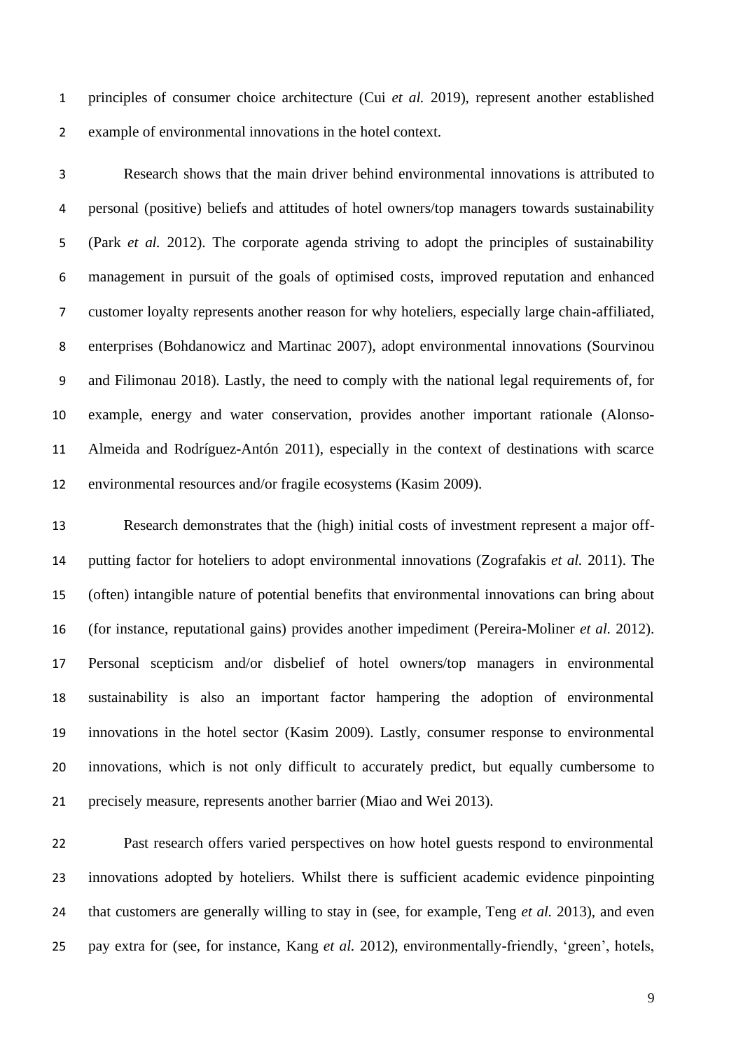principles of consumer choice architecture (Cui *et al.* 2019), represent another established example of environmental innovations in the hotel context.

 Research shows that the main driver behind environmental innovations is attributed to personal (positive) beliefs and attitudes of hotel owners/top managers towards sustainability (Park *et al.* 2012). The corporate agenda striving to adopt the principles of sustainability management in pursuit of the goals of optimised costs, improved reputation and enhanced customer loyalty represents another reason for why hoteliers, especially large chain-affiliated, enterprises (Bohdanowicz and Martinac 2007), adopt environmental innovations (Sourvinou and Filimonau 2018). Lastly, the need to comply with the national legal requirements of, for example, energy and water conservation, provides another important rationale (Alonso- Almeida and Rodríguez-Antón 2011), especially in the context of destinations with scarce environmental resources and/or fragile ecosystems (Kasim 2009).

 Research demonstrates that the (high) initial costs of investment represent a major off- putting factor for hoteliers to adopt environmental innovations (Zografakis *et al.* 2011). The (often) intangible nature of potential benefits that environmental innovations can bring about (for instance, reputational gains) provides another impediment (Pereira-Moliner *et al.* 2012). Personal scepticism and/or disbelief of hotel owners/top managers in environmental sustainability is also an important factor hampering the adoption of environmental innovations in the hotel sector (Kasim 2009). Lastly, consumer response to environmental innovations, which is not only difficult to accurately predict, but equally cumbersome to precisely measure, represents another barrier (Miao and Wei 2013).

 Past research offers varied perspectives on how hotel guests respond to environmental innovations adopted by hoteliers. Whilst there is sufficient academic evidence pinpointing that customers are generally willing to stay in (see, for example, Teng *et al.* 2013), and even pay extra for (see, for instance, Kang *et al.* 2012), environmentally-friendly, 'green', hotels,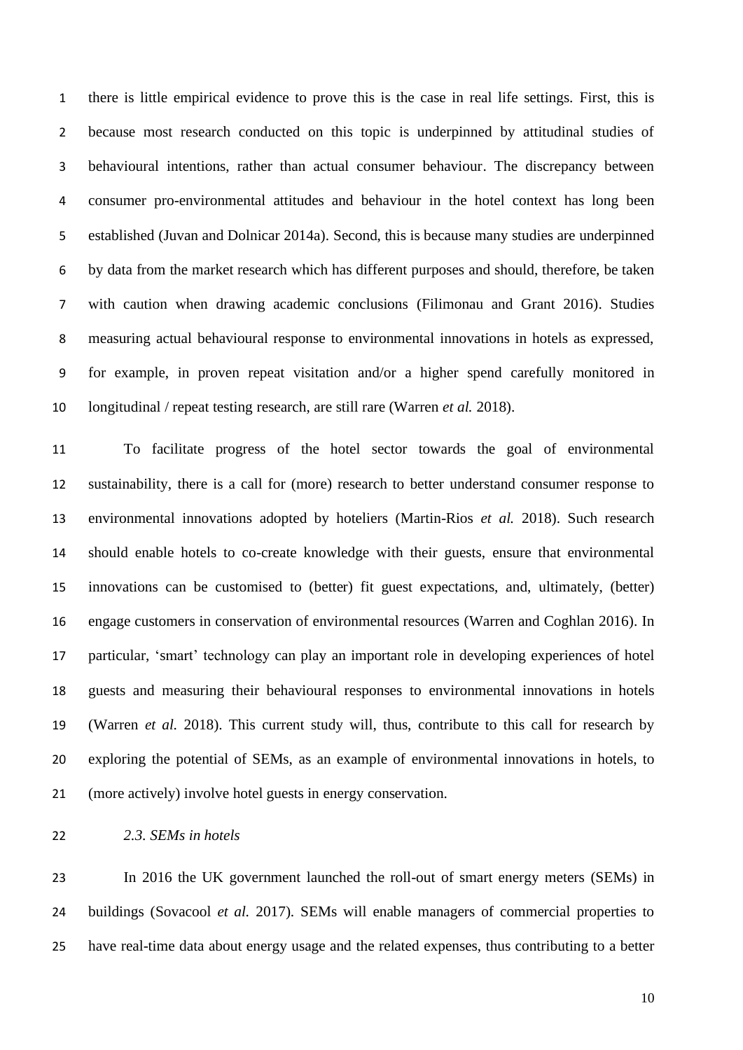there is little empirical evidence to prove this is the case in real life settings. First, this is because most research conducted on this topic is underpinned by attitudinal studies of behavioural intentions, rather than actual consumer behaviour. The discrepancy between consumer pro-environmental attitudes and behaviour in the hotel context has long been established (Juvan and Dolnicar 2014a). Second, this is because many studies are underpinned by data from the market research which has different purposes and should, therefore, be taken with caution when drawing academic conclusions (Filimonau and Grant 2016). Studies measuring actual behavioural response to environmental innovations in hotels as expressed, for example, in proven repeat visitation and/or a higher spend carefully monitored in longitudinal / repeat testing research, are still rare (Warren *et al.* 2018).

 To facilitate progress of the hotel sector towards the goal of environmental sustainability, there is a call for (more) research to better understand consumer response to environmental innovations adopted by hoteliers (Martin-Rios *et al.* 2018). Such research should enable hotels to co-create knowledge with their guests, ensure that environmental innovations can be customised to (better) fit guest expectations, and, ultimately, (better) engage customers in conservation of environmental resources (Warren and Coghlan 2016). In particular, 'smart' technology can play an important role in developing experiences of hotel guests and measuring their behavioural responses to environmental innovations in hotels (Warren *et al.* 2018). This current study will, thus, contribute to this call for research by exploring the potential of SEMs, as an example of environmental innovations in hotels, to (more actively) involve hotel guests in energy conservation.

### *2.3. SEMs in hotels*

 In 2016 the UK government launched the roll-out of smart energy meters (SEMs) in buildings (Sovacool *et al.* 2017). SEMs will enable managers of commercial properties to have real-time data about energy usage and the related expenses, thus contributing to a better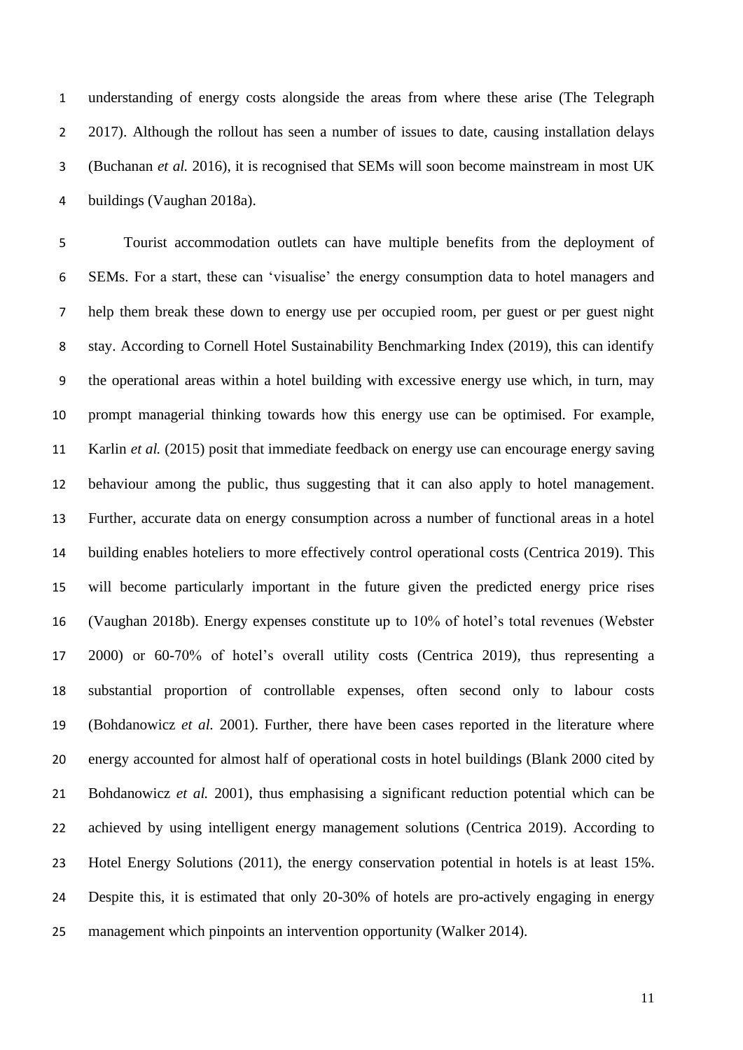understanding of energy costs alongside the areas from where these arise (The Telegraph 2 2017). Although the rollout has seen a number of issues to date, causing installation delays (Buchanan *et al.* 2016), it is recognised that SEMs will soon become mainstream in most UK buildings (Vaughan 2018a).

 Tourist accommodation outlets can have multiple benefits from the deployment of SEMs. For a start, these can 'visualise' the energy consumption data to hotel managers and help them break these down to energy use per occupied room, per guest or per guest night stay. According to Cornell Hotel Sustainability Benchmarking Index (2019), this can identify the operational areas within a hotel building with excessive energy use which, in turn, may prompt managerial thinking towards how this energy use can be optimised. For example, Karlin *et al.* (2015) posit that immediate feedback on energy use can encourage energy saving behaviour among the public, thus suggesting that it can also apply to hotel management. Further, accurate data on energy consumption across a number of functional areas in a hotel building enables hoteliers to more effectively control operational costs (Centrica 2019). This will become particularly important in the future given the predicted energy price rises (Vaughan 2018b). Energy expenses constitute up to 10% of hotel's total revenues (Webster 2000) or 60-70% of hotel's overall utility costs (Centrica 2019), thus representing a substantial proportion of controllable expenses, often second only to labour costs (Bohdanowicz *et al.* 2001). Further, there have been cases reported in the literature where energy accounted for almost half of operational costs in hotel buildings (Blank 2000 cited by Bohdanowicz *et al.* 2001), thus emphasising a significant reduction potential which can be achieved by using intelligent energy management solutions (Centrica 2019). According to Hotel Energy Solutions (2011), the energy conservation potential in hotels is at least 15%. Despite this, it is estimated that only 20-30% of hotels are pro-actively engaging in energy management which pinpoints an intervention opportunity (Walker 2014).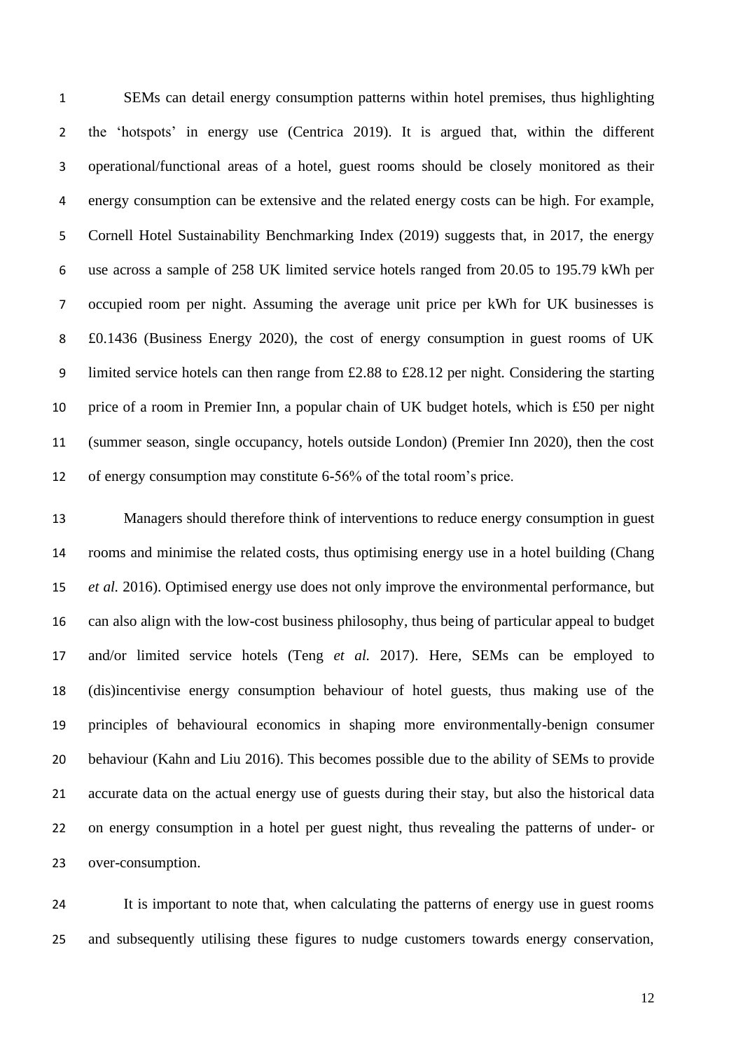SEMs can detail energy consumption patterns within hotel premises, thus highlighting the 'hotspots' in energy use (Centrica 2019). It is argued that, within the different operational/functional areas of a hotel, guest rooms should be closely monitored as their energy consumption can be extensive and the related energy costs can be high. For example, Cornell Hotel Sustainability Benchmarking Index (2019) suggests that, in 2017, the energy use across a sample of 258 UK limited service hotels ranged from 20.05 to 195.79 kWh per occupied room per night. Assuming the average unit price per kWh for UK businesses is £0.1436 (Business Energy 2020), the cost of energy consumption in guest rooms of UK limited service hotels can then range from £2.88 to £28.12 per night. Considering the starting price of a room in Premier Inn, a popular chain of UK budget hotels, which is £50 per night (summer season, single occupancy, hotels outside London) (Premier Inn 2020), then the cost of energy consumption may constitute 6-56% of the total room's price.

 Managers should therefore think of interventions to reduce energy consumption in guest rooms and minimise the related costs, thus optimising energy use in a hotel building (Chang *et al.* 2016). Optimised energy use does not only improve the environmental performance, but can also align with the low-cost business philosophy, thus being of particular appeal to budget and/or limited service hotels (Teng *et al.* 2017). Here, SEMs can be employed to (dis)incentivise energy consumption behaviour of hotel guests, thus making use of the principles of behavioural economics in shaping more environmentally-benign consumer behaviour (Kahn and Liu 2016). This becomes possible due to the ability of SEMs to provide accurate data on the actual energy use of guests during their stay, but also the historical data on energy consumption in a hotel per guest night, thus revealing the patterns of under- or over-consumption.

 It is important to note that, when calculating the patterns of energy use in guest rooms and subsequently utilising these figures to nudge customers towards energy conservation,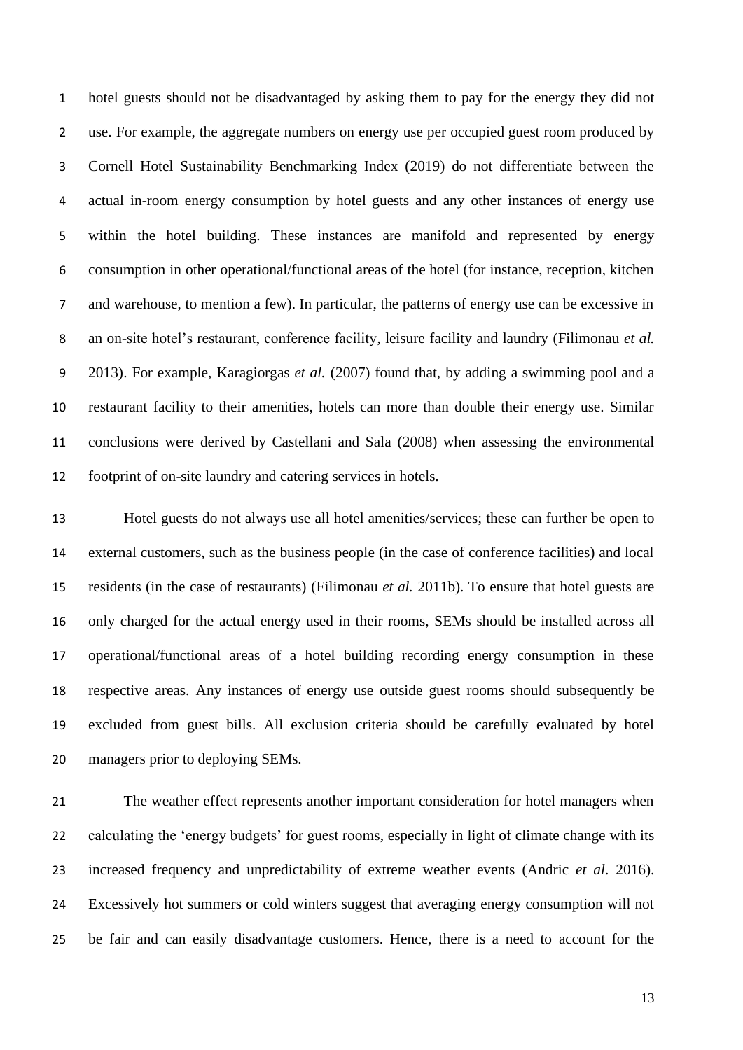hotel guests should not be disadvantaged by asking them to pay for the energy they did not use. For example, the aggregate numbers on energy use per occupied guest room produced by Cornell Hotel Sustainability Benchmarking Index (2019) do not differentiate between the actual in-room energy consumption by hotel guests and any other instances of energy use within the hotel building. These instances are manifold and represented by energy consumption in other operational/functional areas of the hotel (for instance, reception, kitchen and warehouse, to mention a few). In particular, the patterns of energy use can be excessive in an on-site hotel's restaurant, conference facility, leisure facility and laundry (Filimonau *et al.* 2013). For example, Karagiorgas *et al.* (2007) found that, by adding a swimming pool and a restaurant facility to their amenities, hotels can more than double their energy use. Similar conclusions were derived by Castellani and Sala (2008) when assessing the environmental footprint of on-site laundry and catering services in hotels.

 Hotel guests do not always use all hotel amenities/services; these can further be open to external customers, such as the business people (in the case of conference facilities) and local residents (in the case of restaurants) (Filimonau *et al.* 2011b). To ensure that hotel guests are only charged for the actual energy used in their rooms, SEMs should be installed across all operational/functional areas of a hotel building recording energy consumption in these respective areas. Any instances of energy use outside guest rooms should subsequently be excluded from guest bills. All exclusion criteria should be carefully evaluated by hotel managers prior to deploying SEMs.

 The weather effect represents another important consideration for hotel managers when calculating the 'energy budgets' for guest rooms, especially in light of climate change with its increased frequency and unpredictability of extreme weather events (Andric *et al*. 2016). Excessively hot summers or cold winters suggest that averaging energy consumption will not be fair and can easily disadvantage customers. Hence, there is a need to account for the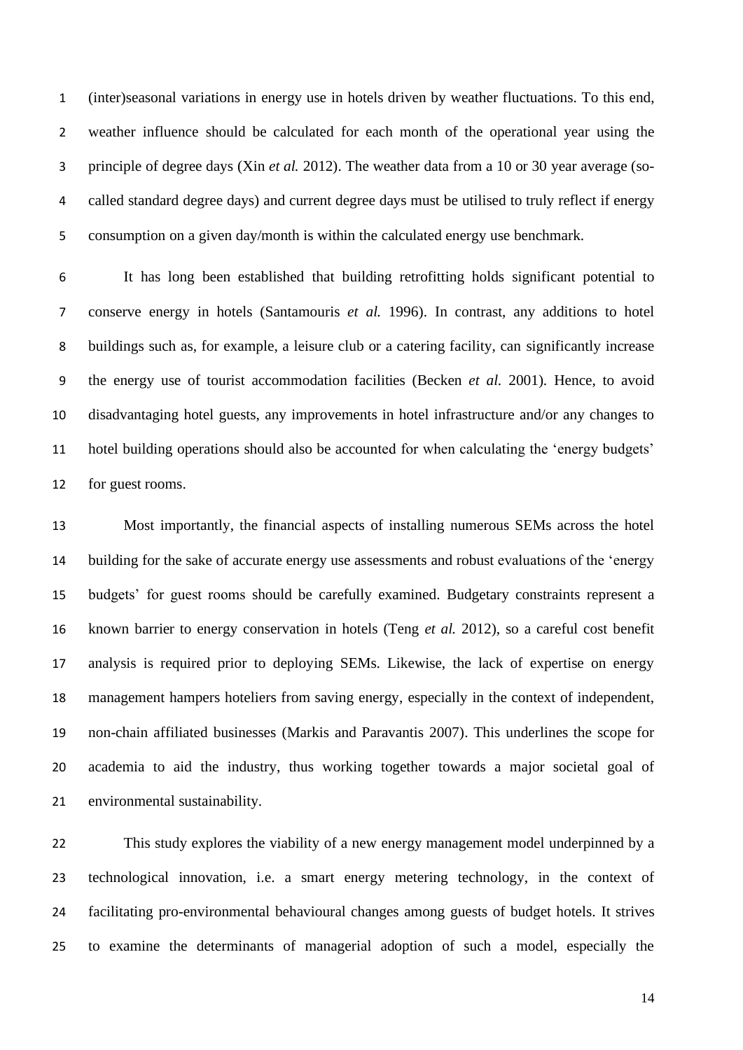(inter)seasonal variations in energy use in hotels driven by weather fluctuations. To this end, weather influence should be calculated for each month of the operational year using the principle of degree days (Xin *et al.* 2012). The weather data from a 10 or 30 year average (so- called standard degree days) and current degree days must be utilised to truly reflect if energy consumption on a given day/month is within the calculated energy use benchmark.

 It has long been established that building retrofitting holds significant potential to conserve energy in hotels (Santamouris *et al.* 1996). In contrast, any additions to hotel buildings such as, for example, a leisure club or a catering facility, can significantly increase the energy use of tourist accommodation facilities (Becken *et al.* 2001). Hence, to avoid disadvantaging hotel guests, any improvements in hotel infrastructure and/or any changes to hotel building operations should also be accounted for when calculating the 'energy budgets' for guest rooms.

 Most importantly, the financial aspects of installing numerous SEMs across the hotel building for the sake of accurate energy use assessments and robust evaluations of the 'energy budgets' for guest rooms should be carefully examined. Budgetary constraints represent a known barrier to energy conservation in hotels (Teng *et al.* 2012), so a careful cost benefit analysis is required prior to deploying SEMs. Likewise, the lack of expertise on energy management hampers hoteliers from saving energy, especially in the context of independent, non-chain affiliated businesses (Markis and Paravantis 2007). This underlines the scope for academia to aid the industry, thus working together towards a major societal goal of environmental sustainability.

 This study explores the viability of a new energy management model underpinned by a technological innovation, i.e. a smart energy metering technology, in the context of facilitating pro-environmental behavioural changes among guests of budget hotels. It strives to examine the determinants of managerial adoption of such a model, especially the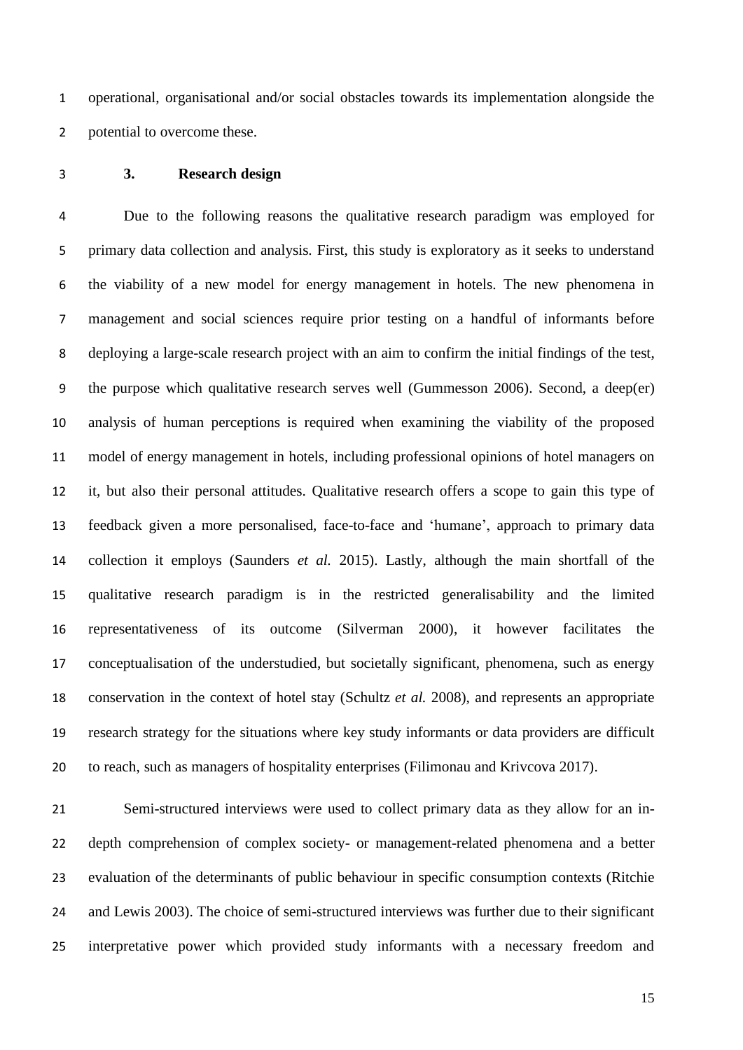operational, organisational and/or social obstacles towards its implementation alongside the potential to overcome these.

# **3. Research design**

 Due to the following reasons the qualitative research paradigm was employed for primary data collection and analysis. First, this study is exploratory as it seeks to understand the viability of a new model for energy management in hotels. The new phenomena in management and social sciences require prior testing on a handful of informants before deploying a large-scale research project with an aim to confirm the initial findings of the test, the purpose which qualitative research serves well (Gummesson 2006). Second, a deep(er) analysis of human perceptions is required when examining the viability of the proposed model of energy management in hotels, including professional opinions of hotel managers on it, but also their personal attitudes. Qualitative research offers a scope to gain this type of feedback given a more personalised, face-to-face and 'humane', approach to primary data collection it employs (Saunders *et al.* 2015). Lastly, although the main shortfall of the qualitative research paradigm is in the restricted generalisability and the limited representativeness of its outcome (Silverman 2000), it however facilitates the conceptualisation of the understudied, but societally significant, phenomena, such as energy conservation in the context of hotel stay (Schultz *et al.* 2008), and represents an appropriate research strategy for the situations where key study informants or data providers are difficult to reach, such as managers of hospitality enterprises (Filimonau and Krivcova 2017).

 Semi-structured interviews were used to collect primary data as they allow for an in- depth comprehension of complex society- or management-related phenomena and a better evaluation of the determinants of public behaviour in specific consumption contexts (Ritchie and Lewis 2003). The choice of semi-structured interviews was further due to their significant interpretative power which provided study informants with a necessary freedom and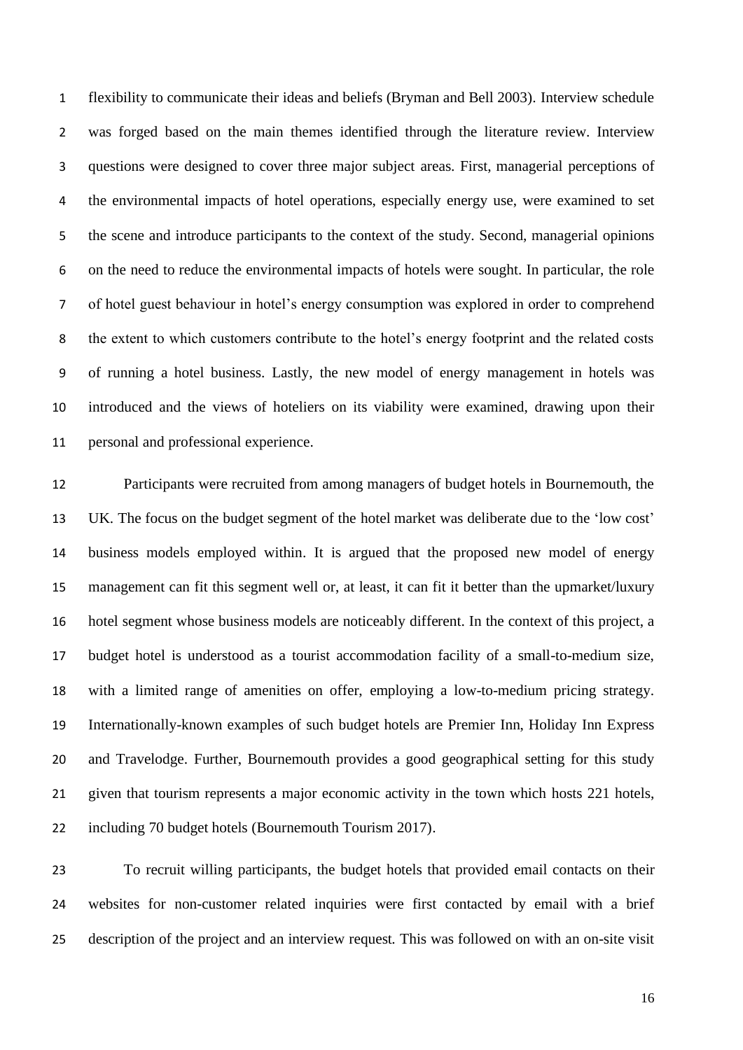flexibility to communicate their ideas and beliefs (Bryman and Bell 2003). Interview schedule was forged based on the main themes identified through the literature review. Interview questions were designed to cover three major subject areas. First, managerial perceptions of the environmental impacts of hotel operations, especially energy use, were examined to set the scene and introduce participants to the context of the study. Second, managerial opinions on the need to reduce the environmental impacts of hotels were sought. In particular, the role of hotel guest behaviour in hotel's energy consumption was explored in order to comprehend the extent to which customers contribute to the hotel's energy footprint and the related costs of running a hotel business. Lastly, the new model of energy management in hotels was introduced and the views of hoteliers on its viability were examined, drawing upon their personal and professional experience.

 Participants were recruited from among managers of budget hotels in Bournemouth, the UK. The focus on the budget segment of the hotel market was deliberate due to the 'low cost' business models employed within. It is argued that the proposed new model of energy management can fit this segment well or, at least, it can fit it better than the upmarket/luxury hotel segment whose business models are noticeably different. In the context of this project, a budget hotel is understood as a tourist accommodation facility of a small-to-medium size, with a limited range of amenities on offer, employing a low-to-medium pricing strategy. Internationally-known examples of such budget hotels are Premier Inn, Holiday Inn Express and Travelodge. Further, Bournemouth provides a good geographical setting for this study given that tourism represents a major economic activity in the town which hosts 221 hotels, including 70 budget hotels (Bournemouth Tourism 2017).

 To recruit willing participants, the budget hotels that provided email contacts on their websites for non-customer related inquiries were first contacted by email with a brief description of the project and an interview request. This was followed on with an on-site visit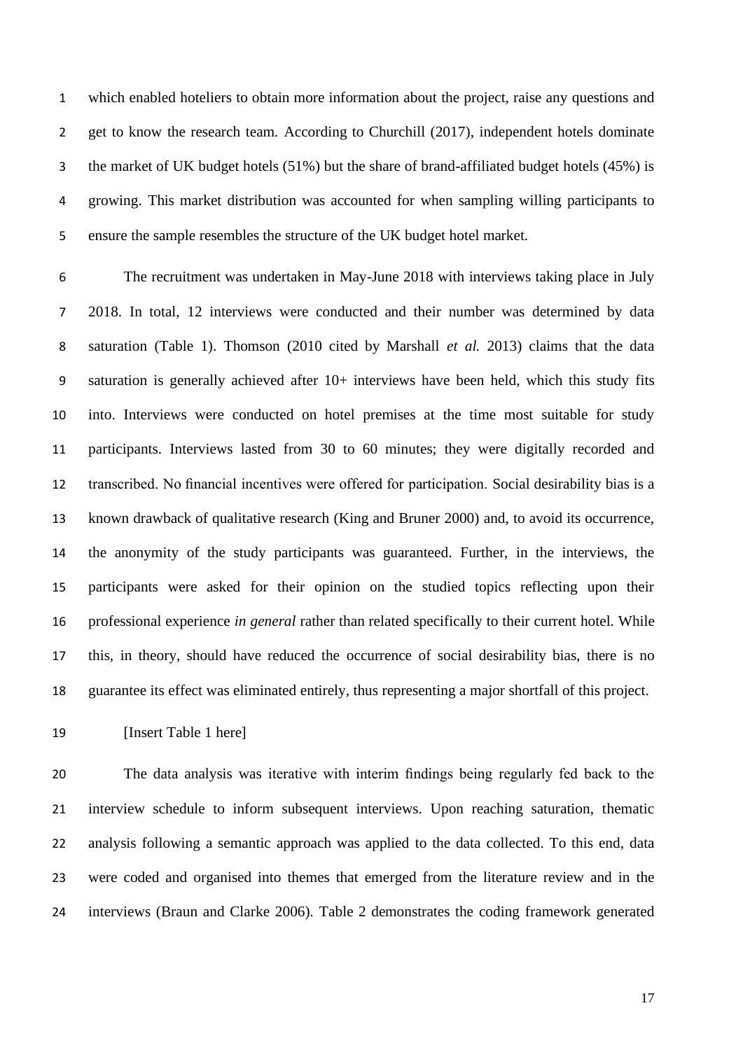which enabled hoteliers to obtain more information about the project, raise any questions and 2 get to know the research team. According to Churchill (2017), independent hotels dominate the market of UK budget hotels (51%) but the share of brand-affiliated budget hotels (45%) is growing. This market distribution was accounted for when sampling willing participants to ensure the sample resembles the structure of the UK budget hotel market.

 The recruitment was undertaken in May-June 2018 with interviews taking place in July 2018. In total, 12 interviews were conducted and their number was determined by data saturation (Table 1). Thomson (2010 cited by Marshall *et al.* 2013) claims that the data saturation is generally achieved after 10+ interviews have been held, which this study fits into. Interviews were conducted on hotel premises at the time most suitable for study participants. Interviews lasted from 30 to 60 minutes; they were digitally recorded and transcribed. No financial incentives were offered for participation. Social desirability bias is a known drawback of qualitative research (King and Bruner 2000) and, to avoid its occurrence, the anonymity of the study participants was guaranteed. Further, in the interviews, the participants were asked for their opinion on the studied topics reflecting upon their professional experience *in general* rather than related specifically to their current hotel. While this, in theory, should have reduced the occurrence of social desirability bias, there is no guarantee its effect was eliminated entirely, thus representing a major shortfall of this project.

**Insert Table 1 here** 

 The data analysis was iterative with interim findings being regularly fed back to the interview schedule to inform subsequent interviews. Upon reaching saturation, thematic analysis following a semantic approach was applied to the data collected. To this end, data were coded and organised into themes that emerged from the literature review and in the interviews (Braun and Clarke 2006). Table 2 demonstrates the coding framework generated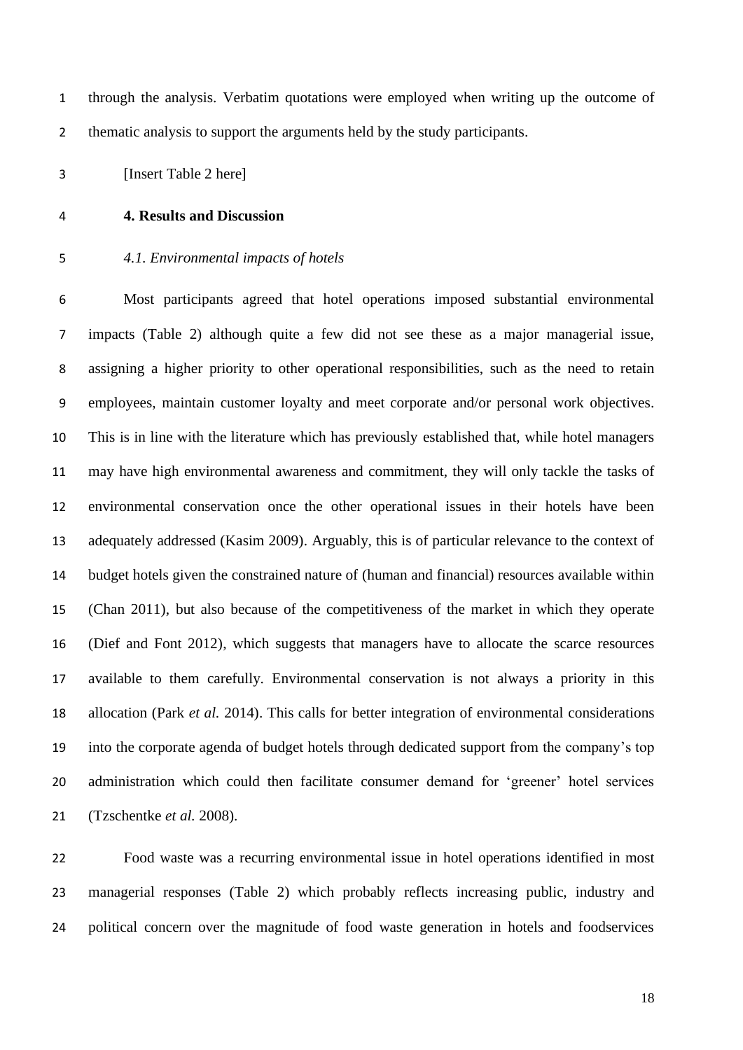through the analysis. Verbatim quotations were employed when writing up the outcome of 2 thematic analysis to support the arguments held by the study participants.

[Insert Table 2 here]

## **4. Results and Discussion**

# *4.1. Environmental impacts of hotels*

 Most participants agreed that hotel operations imposed substantial environmental impacts (Table 2) although quite a few did not see these as a major managerial issue, assigning a higher priority to other operational responsibilities, such as the need to retain employees, maintain customer loyalty and meet corporate and/or personal work objectives. This is in line with the literature which has previously established that, while hotel managers may have high environmental awareness and commitment, they will only tackle the tasks of environmental conservation once the other operational issues in their hotels have been adequately addressed (Kasim 2009). Arguably, this is of particular relevance to the context of budget hotels given the constrained nature of (human and financial) resources available within (Chan 2011), but also because of the competitiveness of the market in which they operate (Dief and Font 2012), which suggests that managers have to allocate the scarce resources available to them carefully. Environmental conservation is not always a priority in this allocation (Park *et al.* 2014). This calls for better integration of environmental considerations into the corporate agenda of budget hotels through dedicated support from the company's top administration which could then facilitate consumer demand for 'greener' hotel services (Tzschentke *et al.* 2008).

 Food waste was a recurring environmental issue in hotel operations identified in most managerial responses (Table 2) which probably reflects increasing public, industry and political concern over the magnitude of food waste generation in hotels and foodservices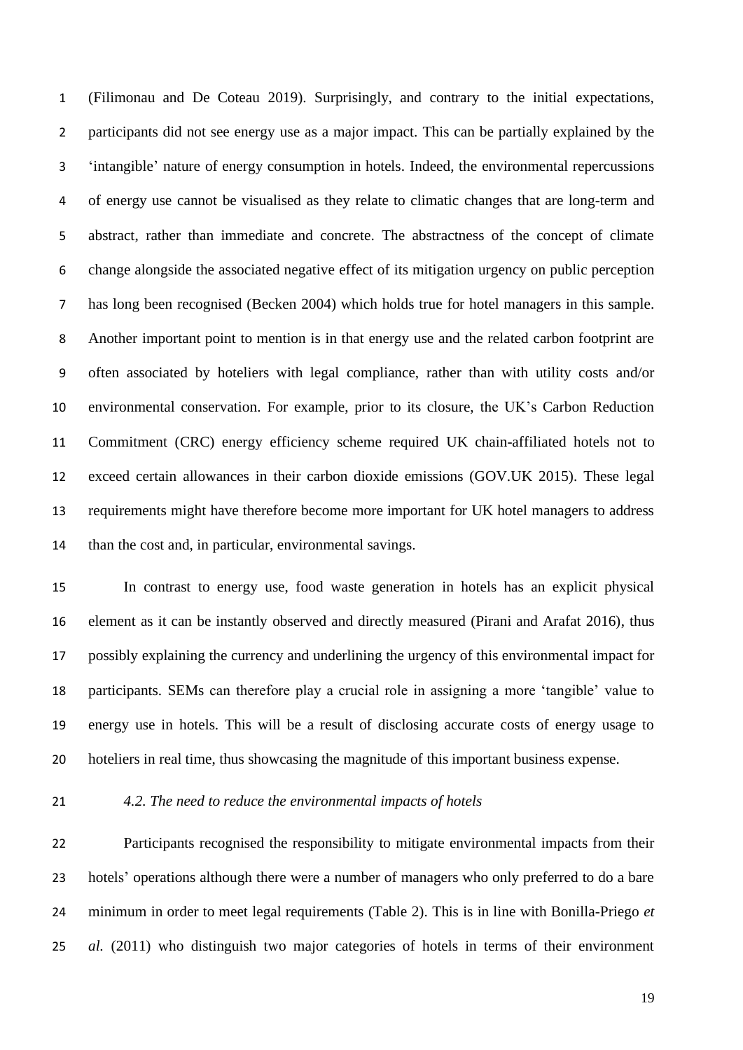(Filimonau and De Coteau 2019). Surprisingly, and contrary to the initial expectations, participants did not see energy use as a major impact. This can be partially explained by the 'intangible' nature of energy consumption in hotels. Indeed, the environmental repercussions of energy use cannot be visualised as they relate to climatic changes that are long-term and abstract, rather than immediate and concrete. The abstractness of the concept of climate change alongside the associated negative effect of its mitigation urgency on public perception has long been recognised (Becken 2004) which holds true for hotel managers in this sample. Another important point to mention is in that energy use and the related carbon footprint are often associated by hoteliers with legal compliance, rather than with utility costs and/or environmental conservation. For example, prior to its closure, the UK's Carbon Reduction Commitment (CRC) energy efficiency scheme required UK chain-affiliated hotels not to exceed certain allowances in their carbon dioxide emissions (GOV.UK 2015). These legal requirements might have therefore become more important for UK hotel managers to address than the cost and, in particular, environmental savings.

 In contrast to energy use, food waste generation in hotels has an explicit physical element as it can be instantly observed and directly measured (Pirani and Arafat 2016), thus possibly explaining the currency and underlining the urgency of this environmental impact for participants. SEMs can therefore play a crucial role in assigning a more 'tangible' value to energy use in hotels. This will be a result of disclosing accurate costs of energy usage to hoteliers in real time, thus showcasing the magnitude of this important business expense.

## *4.2. The need to reduce the environmental impacts of hotels*

 Participants recognised the responsibility to mitigate environmental impacts from their hotels' operations although there were a number of managers who only preferred to do a bare minimum in order to meet legal requirements (Table 2). This is in line with Bonilla-Priego *et al.* (2011) who distinguish two major categories of hotels in terms of their environment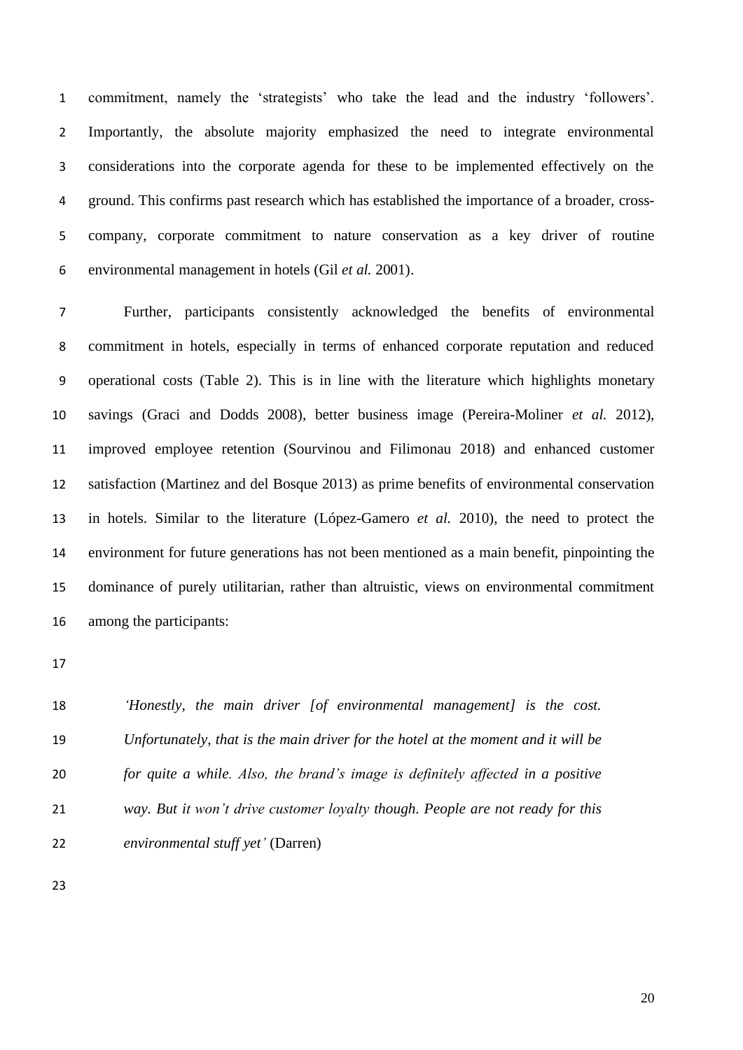commitment, namely the 'strategists' who take the lead and the industry 'followers'. Importantly, the absolute majority emphasized the need to integrate environmental considerations into the corporate agenda for these to be implemented effectively on the ground. This confirms past research which has established the importance of a broader, cross- company, corporate commitment to nature conservation as a key driver of routine environmental management in hotels (Gil *et al.* 2001).

 Further, participants consistently acknowledged the benefits of environmental commitment in hotels, especially in terms of enhanced corporate reputation and reduced operational costs (Table 2). This is in line with the literature which highlights monetary savings (Graci and Dodds 2008), better business image (Pereira-Moliner *et al.* 2012), improved employee retention (Sourvinou and Filimonau 2018) and enhanced customer satisfaction (Martinez and del Bosque 2013) as prime benefits of environmental conservation in hotels. Similar to the literature (López-Gamero *et al.* 2010), the need to protect the environment for future generations has not been mentioned as a main benefit, pinpointing the dominance of purely utilitarian, rather than altruistic, views on environmental commitment among the participants:

 *'Honestly, the main driver [of environmental management] is the cost. Unfortunately, that is the main driver for the hotel at the moment and it will be for quite a while. Also, the brand's image is definitely affected in a positive way. But it won't drive customer loyalty though. People are not ready for this environmental stuff yet'* (Darren)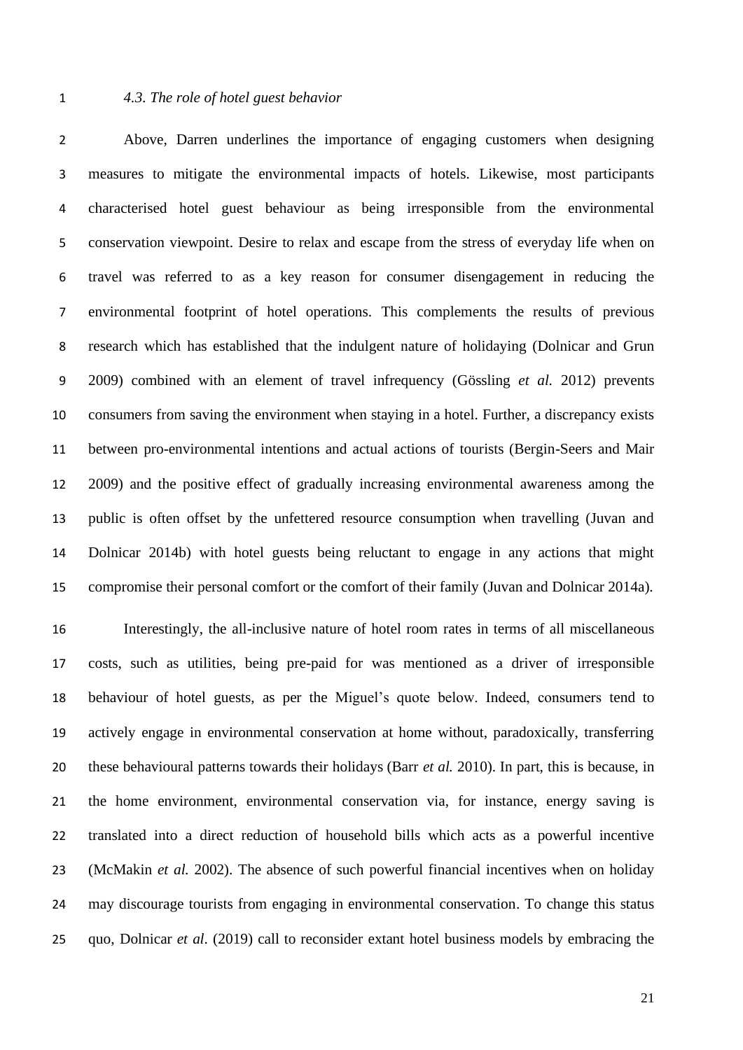## *4.3. The role of hotel guest behavior*

 Above, Darren underlines the importance of engaging customers when designing measures to mitigate the environmental impacts of hotels. Likewise, most participants characterised hotel guest behaviour as being irresponsible from the environmental conservation viewpoint. Desire to relax and escape from the stress of everyday life when on travel was referred to as a key reason for consumer disengagement in reducing the environmental footprint of hotel operations. This complements the results of previous research which has established that the indulgent nature of holidaying (Dolnicar and Grun 2009) combined with an element of travel infrequency (Gössling *et al.* 2012) prevents consumers from saving the environment when staying in a hotel. Further, a discrepancy exists between pro-environmental intentions and actual actions of tourists (Bergin-Seers and Mair 2009) and the positive effect of gradually increasing environmental awareness among the public is often offset by the unfettered resource consumption when travelling (Juvan and Dolnicar 2014b) with hotel guests being reluctant to engage in any actions that might compromise their personal comfort or the comfort of their family (Juvan and Dolnicar 2014a).

 Interestingly, the all-inclusive nature of hotel room rates in terms of all miscellaneous costs, such as utilities, being pre-paid for was mentioned as a driver of irresponsible behaviour of hotel guests, as per the Miguel's quote below. Indeed, consumers tend to actively engage in environmental conservation at home without, paradoxically, transferring these behavioural patterns towards their holidays (Barr *et al.* 2010). In part, this is because, in the home environment, environmental conservation via, for instance, energy saving is translated into a direct reduction of household bills which acts as a powerful incentive (McMakin *et al.* 2002). The absence of such powerful financial incentives when on holiday may discourage tourists from engaging in environmental conservation. To change this status quo, Dolnicar *et al*. (2019) call to reconsider extant hotel business models by embracing the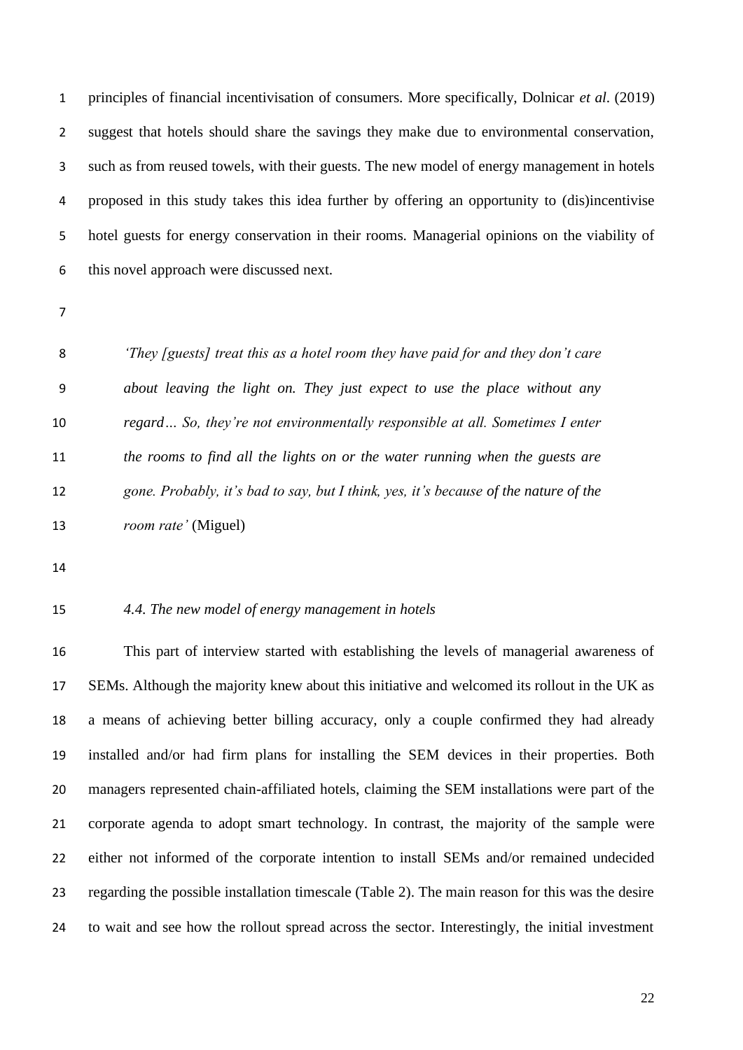principles of financial incentivisation of consumers. More specifically, Dolnicar *et al*. (2019) suggest that hotels should share the savings they make due to environmental conservation, such as from reused towels, with their guests. The new model of energy management in hotels proposed in this study takes this idea further by offering an opportunity to (dis)incentivise hotel guests for energy conservation in their rooms. Managerial opinions on the viability of this novel approach were discussed next.

 *'They [guests] treat this as a hotel room they have paid for and they don't care about leaving the light on. They just expect to use the place without any regard… So, they're not environmentally responsible at all. Sometimes I enter the rooms to find all the lights on or the water running when the guests are gone. Probably, it's bad to say, but I think, yes, it's because of the nature of the room rate'* (Miguel)

# *4.4. The new model of energy management in hotels*

 This part of interview started with establishing the levels of managerial awareness of SEMs. Although the majority knew about this initiative and welcomed its rollout in the UK as a means of achieving better billing accuracy, only a couple confirmed they had already installed and/or had firm plans for installing the SEM devices in their properties. Both managers represented chain-affiliated hotels, claiming the SEM installations were part of the corporate agenda to adopt smart technology. In contrast, the majority of the sample were either not informed of the corporate intention to install SEMs and/or remained undecided regarding the possible installation timescale (Table 2). The main reason for this was the desire to wait and see how the rollout spread across the sector. Interestingly, the initial investment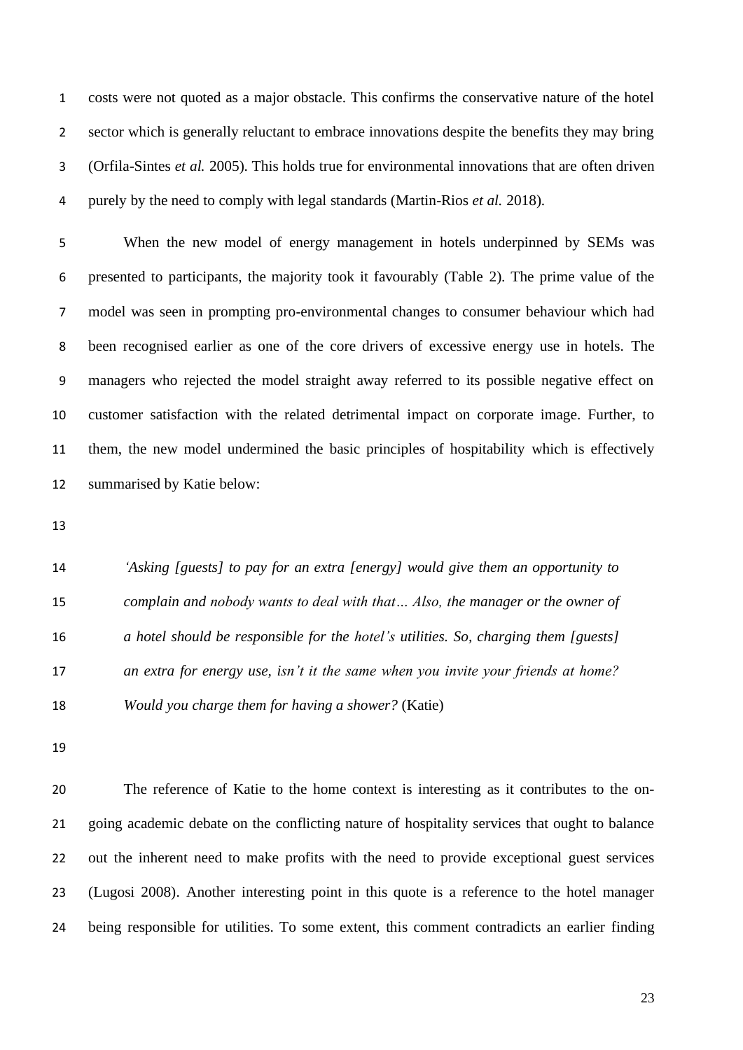costs were not quoted as a major obstacle. This confirms the conservative nature of the hotel sector which is generally reluctant to embrace innovations despite the benefits they may bring (Orfila-Sintes *et al.* 2005). This holds true for environmental innovations that are often driven purely by the need to comply with legal standards (Martin-Rios *et al.* 2018).

 When the new model of energy management in hotels underpinned by SEMs was presented to participants, the majority took it favourably (Table 2). The prime value of the model was seen in prompting pro-environmental changes to consumer behaviour which had been recognised earlier as one of the core drivers of excessive energy use in hotels. The managers who rejected the model straight away referred to its possible negative effect on customer satisfaction with the related detrimental impact on corporate image. Further, to them, the new model undermined the basic principles of hospitability which is effectively summarised by Katie below:

 *'Asking [guests] to pay for an extra [energy] would give them an opportunity to complain and nobody wants to deal with that… Also, the manager or the owner of a hotel should be responsible for the hotel's utilities. So, charging them [guests] an extra for energy use, isn't it the same when you invite your friends at home? Would you charge them for having a shower?* (Katie)

 The reference of Katie to the home context is interesting as it contributes to the on- going academic debate on the conflicting nature of hospitality services that ought to balance out the inherent need to make profits with the need to provide exceptional guest services (Lugosi 2008). Another interesting point in this quote is a reference to the hotel manager being responsible for utilities. To some extent, this comment contradicts an earlier finding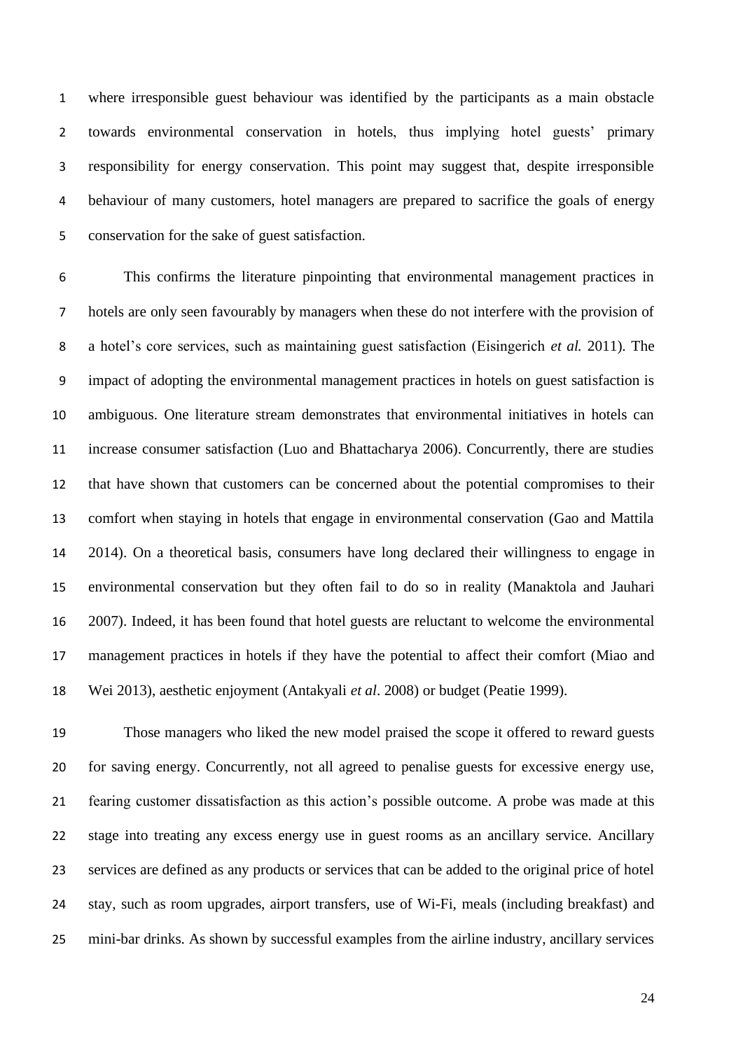where irresponsible guest behaviour was identified by the participants as a main obstacle towards environmental conservation in hotels, thus implying hotel guests' primary responsibility for energy conservation. This point may suggest that, despite irresponsible behaviour of many customers, hotel managers are prepared to sacrifice the goals of energy conservation for the sake of guest satisfaction.

 This confirms the literature pinpointing that environmental management practices in hotels are only seen favourably by managers when these do not interfere with the provision of a hotel's core services, such as maintaining guest satisfaction (Eisingerich *et al.* 2011). The impact of adopting the environmental management practices in hotels on guest satisfaction is ambiguous. One literature stream demonstrates that environmental initiatives in hotels can increase consumer satisfaction (Luo and Bhattacharya 2006). Concurrently, there are studies that have shown that customers can be concerned about the potential compromises to their comfort when staying in hotels that engage in environmental conservation (Gao and Mattila 2014). On a theoretical basis, consumers have long declared their willingness to engage in environmental conservation but they often fail to do so in reality (Manaktola and Jauhari 2007). Indeed, it has been found that hotel guests are reluctant to welcome the environmental management practices in hotels if they have the potential to affect their comfort (Miao and Wei 2013), aesthetic enjoyment (Antakyali *et al*. 2008) or budget (Peatie 1999).

 Those managers who liked the new model praised the scope it offered to reward guests for saving energy. Concurrently, not all agreed to penalise guests for excessive energy use, fearing customer dissatisfaction as this action's possible outcome. A probe was made at this stage into treating any excess energy use in guest rooms as an ancillary service. Ancillary services are defined as any products or services that can be added to the original price of hotel stay, such as room upgrades, airport transfers, use of Wi-Fi, meals (including breakfast) and mini-bar drinks. As shown by successful examples from the airline industry, ancillary services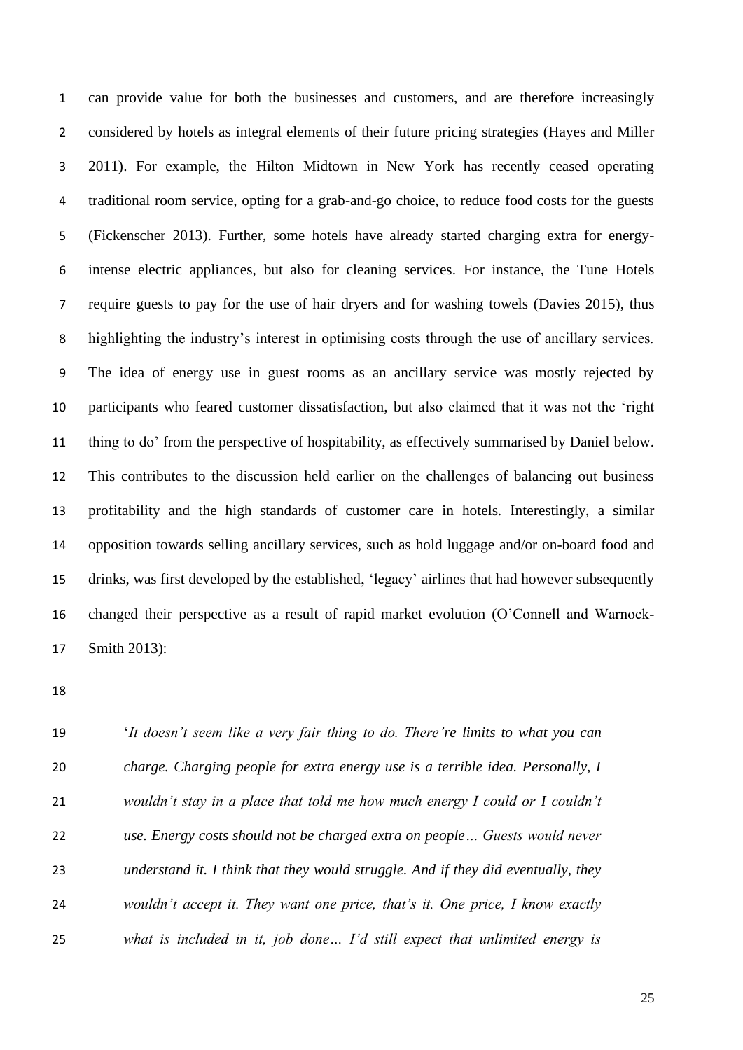can provide value for both the businesses and customers, and are therefore increasingly considered by hotels as integral elements of their future pricing strategies (Hayes and Miller 2011). For example, the Hilton Midtown in New York has recently ceased operating traditional room service, opting for a grab-and-go choice, to reduce food costs for the guests (Fickenscher 2013). Further, some hotels have already started charging extra for energy- intense electric appliances, but also for cleaning services. For instance, the Tune Hotels require guests to pay for the use of hair dryers and for washing towels (Davies 2015), thus highlighting the industry's interest in optimising costs through the use of ancillary services. The idea of energy use in guest rooms as an ancillary service was mostly rejected by participants who feared customer dissatisfaction, but also claimed that it was not the 'right thing to do' from the perspective of hospitability, as effectively summarised by Daniel below. This contributes to the discussion held earlier on the challenges of balancing out business profitability and the high standards of customer care in hotels. Interestingly, a similar opposition towards selling ancillary services, such as hold luggage and/or on-board food and drinks, was first developed by the established, 'legacy' airlines that had however subsequently changed their perspective as a result of rapid market evolution (O'Connell and Warnock-Smith 2013):

 '*It doesn't seem like a very fair thing to do. There're limits to what you can charge. Charging people for extra energy use is a terrible idea. Personally, I wouldn't stay in a place that told me how much energy I could or I couldn't use. Energy costs should not be charged extra on people… Guests would never understand it. I think that they would struggle. And if they did eventually, they wouldn't accept it. They want one price, that's it. One price, I know exactly what is included in it, job done… I'd still expect that unlimited energy is*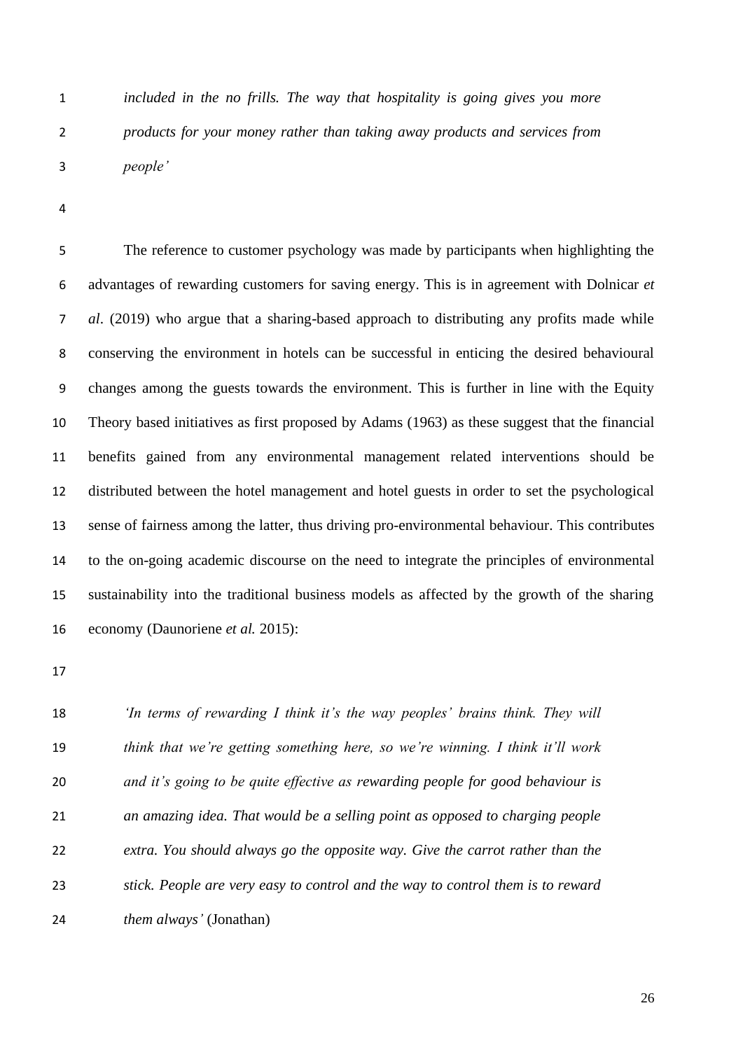*included in the no frills. The way that hospitality is going gives you more products for your money rather than taking away products and services from people'*

 The reference to customer psychology was made by participants when highlighting the advantages of rewarding customers for saving energy. This is in agreement with Dolnicar *et al*. (2019) who argue that a sharing-based approach to distributing any profits made while conserving the environment in hotels can be successful in enticing the desired behavioural changes among the guests towards the environment. This is further in line with the Equity Theory based initiatives as first proposed by Adams (1963) as these suggest that the financial benefits gained from any environmental management related interventions should be distributed between the hotel management and hotel guests in order to set the psychological sense of fairness among the latter, thus driving pro-environmental behaviour. This contributes to the on-going academic discourse on the need to integrate the principles of environmental sustainability into the traditional business models as affected by the growth of the sharing economy (Daunoriene *et al.* 2015):

 *'In terms of rewarding I think it's the way peoples' brains think. They will think that we're getting something here, so we're winning. I think it'll work and it's going to be quite effective as rewarding people for good behaviour is an amazing idea. That would be a selling point as opposed to charging people extra. You should always go the opposite way. Give the carrot rather than the stick. People are very easy to control and the way to control them is to reward them always'* (Jonathan)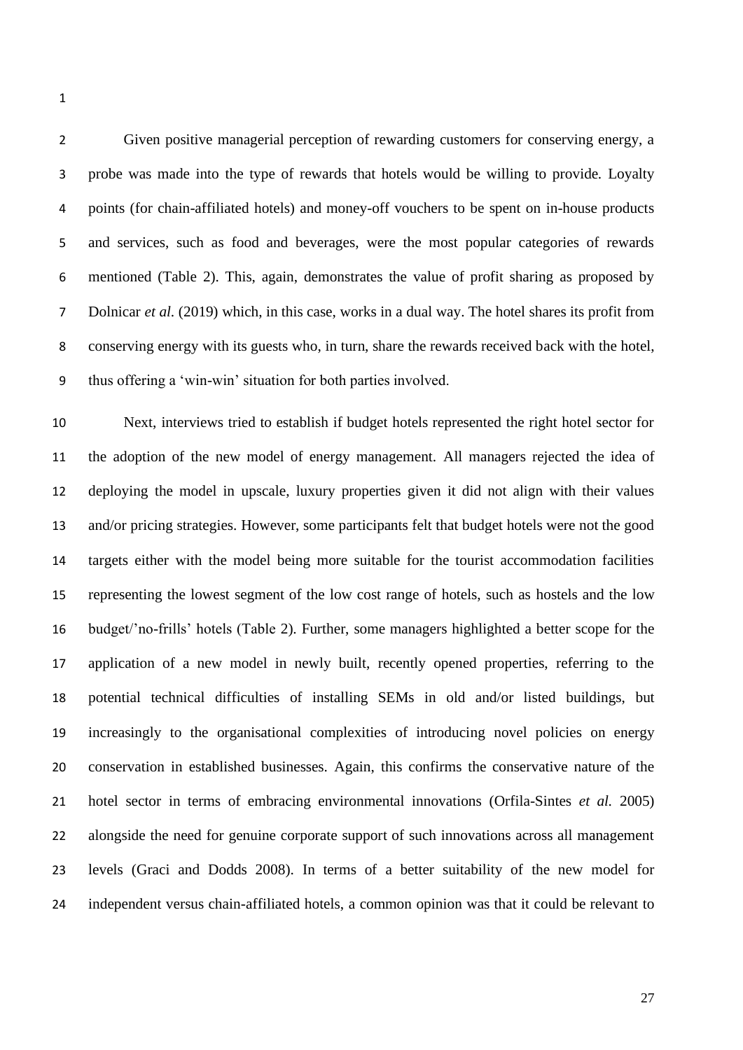Given positive managerial perception of rewarding customers for conserving energy, a probe was made into the type of rewards that hotels would be willing to provide. Loyalty points (for chain-affiliated hotels) and money-off vouchers to be spent on in-house products and services, such as food and beverages, were the most popular categories of rewards mentioned (Table 2). This, again, demonstrates the value of profit sharing as proposed by Dolnicar *et al*. (2019) which, in this case, works in a dual way. The hotel shares its profit from conserving energy with its guests who, in turn, share the rewards received back with the hotel, thus offering a 'win-win' situation for both parties involved.

 Next, interviews tried to establish if budget hotels represented the right hotel sector for the adoption of the new model of energy management. All managers rejected the idea of deploying the model in upscale, luxury properties given it did not align with their values and/or pricing strategies. However, some participants felt that budget hotels were not the good targets either with the model being more suitable for the tourist accommodation facilities representing the lowest segment of the low cost range of hotels, such as hostels and the low budget/'no-frills' hotels (Table 2). Further, some managers highlighted a better scope for the application of a new model in newly built, recently opened properties, referring to the potential technical difficulties of installing SEMs in old and/or listed buildings, but increasingly to the organisational complexities of introducing novel policies on energy conservation in established businesses. Again, this confirms the conservative nature of the hotel sector in terms of embracing environmental innovations (Orfila-Sintes *et al.* 2005) alongside the need for genuine corporate support of such innovations across all management levels (Graci and Dodds 2008). In terms of a better suitability of the new model for independent versus chain-affiliated hotels, a common opinion was that it could be relevant to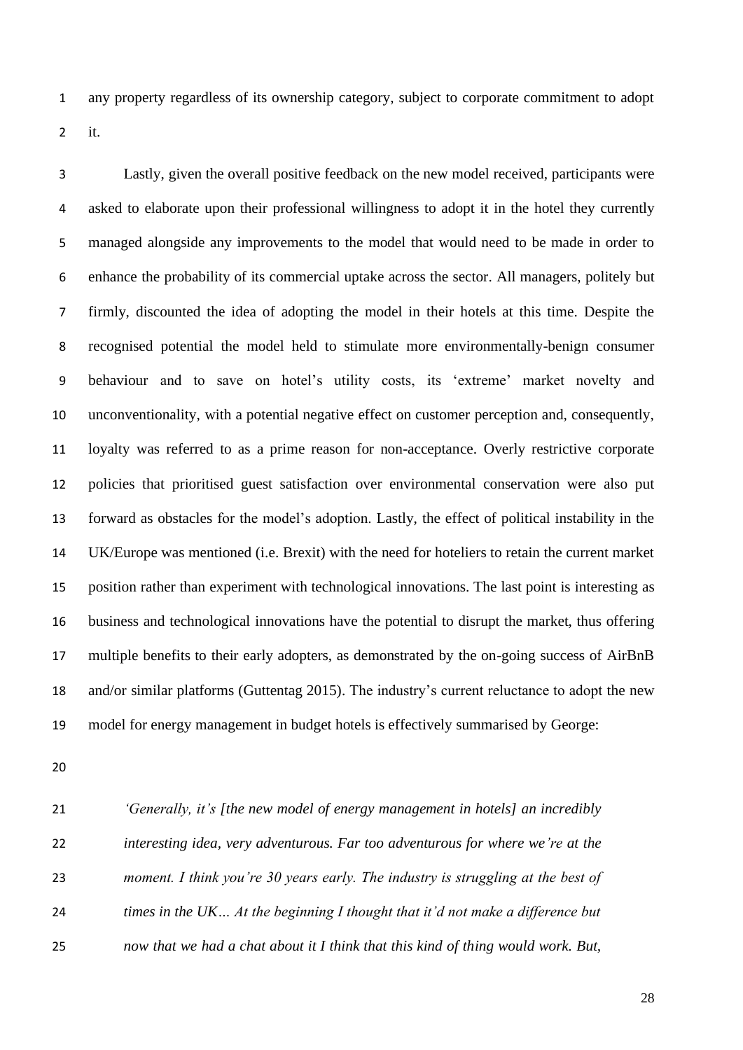any property regardless of its ownership category, subject to corporate commitment to adopt it.

 Lastly, given the overall positive feedback on the new model received, participants were asked to elaborate upon their professional willingness to adopt it in the hotel they currently managed alongside any improvements to the model that would need to be made in order to enhance the probability of its commercial uptake across the sector. All managers, politely but firmly, discounted the idea of adopting the model in their hotels at this time. Despite the recognised potential the model held to stimulate more environmentally-benign consumer behaviour and to save on hotel's utility costs, its 'extreme' market novelty and unconventionality, with a potential negative effect on customer perception and, consequently, loyalty was referred to as a prime reason for non-acceptance. Overly restrictive corporate policies that prioritised guest satisfaction over environmental conservation were also put forward as obstacles for the model's adoption. Lastly, the effect of political instability in the UK/Europe was mentioned (i.e. Brexit) with the need for hoteliers to retain the current market position rather than experiment with technological innovations. The last point is interesting as business and technological innovations have the potential to disrupt the market, thus offering multiple benefits to their early adopters, as demonstrated by the on-going success of AirBnB and/or similar platforms (Guttentag 2015). The industry's current reluctance to adopt the new model for energy management in budget hotels is effectively summarised by George:

 *'Generally, it's [the new model of energy management in hotels] an incredibly interesting idea, very adventurous. Far too adventurous for where we're at the moment. I think you're 30 years early. The industry is struggling at the best of times in the UK… At the beginning I thought that it'd not make a difference but now that we had a chat about it I think that this kind of thing would work. But,*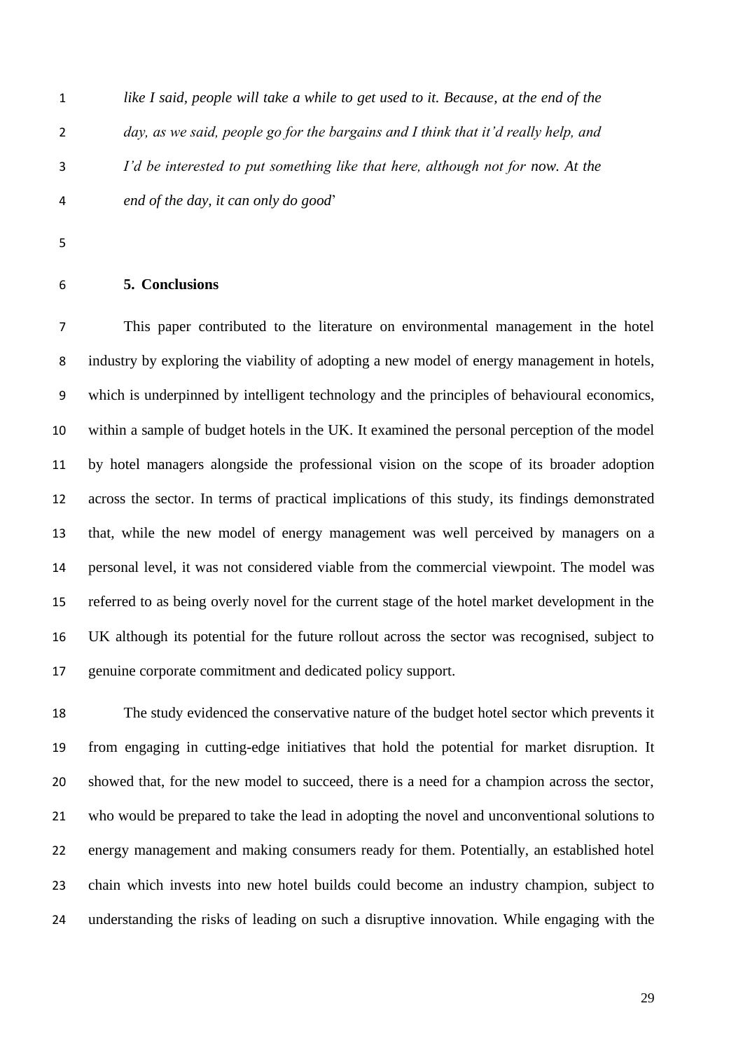*like I said, people will take a while to get used to it. Because, at the end of the day, as we said, people go for the bargains and I think that it'd really help, and I'd be interested to put something like that here, although not for now. At the end of the day, it can only do good*'

# **5. Conclusions**

 This paper contributed to the literature on environmental management in the hotel industry by exploring the viability of adopting a new model of energy management in hotels, which is underpinned by intelligent technology and the principles of behavioural economics, within a sample of budget hotels in the UK. It examined the personal perception of the model by hotel managers alongside the professional vision on the scope of its broader adoption across the sector. In terms of practical implications of this study, its findings demonstrated that, while the new model of energy management was well perceived by managers on a personal level, it was not considered viable from the commercial viewpoint. The model was referred to as being overly novel for the current stage of the hotel market development in the UK although its potential for the future rollout across the sector was recognised, subject to genuine corporate commitment and dedicated policy support.

 The study evidenced the conservative nature of the budget hotel sector which prevents it from engaging in cutting-edge initiatives that hold the potential for market disruption. It showed that, for the new model to succeed, there is a need for a champion across the sector, who would be prepared to take the lead in adopting the novel and unconventional solutions to energy management and making consumers ready for them. Potentially, an established hotel chain which invests into new hotel builds could become an industry champion, subject to understanding the risks of leading on such a disruptive innovation. While engaging with the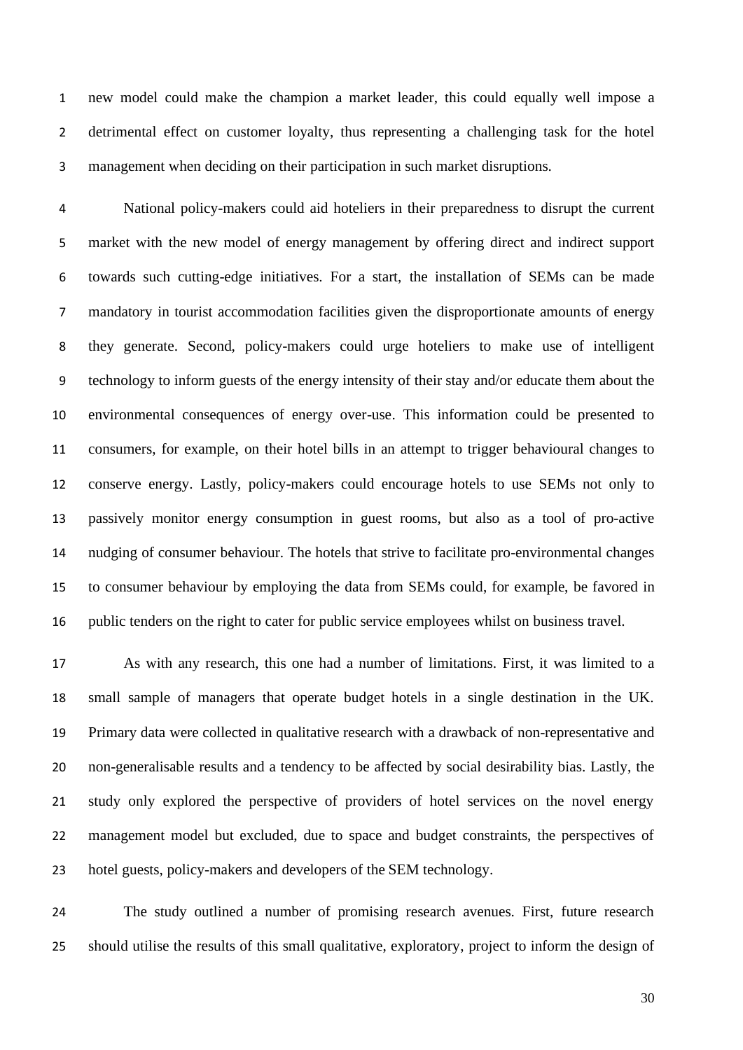new model could make the champion a market leader, this could equally well impose a detrimental effect on customer loyalty, thus representing a challenging task for the hotel management when deciding on their participation in such market disruptions.

 National policy-makers could aid hoteliers in their preparedness to disrupt the current market with the new model of energy management by offering direct and indirect support towards such cutting-edge initiatives. For a start, the installation of SEMs can be made mandatory in tourist accommodation facilities given the disproportionate amounts of energy they generate. Second, policy-makers could urge hoteliers to make use of intelligent technology to inform guests of the energy intensity of their stay and/or educate them about the environmental consequences of energy over-use. This information could be presented to consumers, for example, on their hotel bills in an attempt to trigger behavioural changes to conserve energy. Lastly, policy-makers could encourage hotels to use SEMs not only to passively monitor energy consumption in guest rooms, but also as a tool of pro-active nudging of consumer behaviour. The hotels that strive to facilitate pro-environmental changes to consumer behaviour by employing the data from SEMs could, for example, be favored in public tenders on the right to cater for public service employees whilst on business travel.

 As with any research, this one had a number of limitations. First, it was limited to a small sample of managers that operate budget hotels in a single destination in the UK. Primary data were collected in qualitative research with a drawback of non-representative and non-generalisable results and a tendency to be affected by social desirability bias. Lastly, the study only explored the perspective of providers of hotel services on the novel energy management model but excluded, due to space and budget constraints, the perspectives of hotel guests, policy-makers and developers of the SEM technology.

 The study outlined a number of promising research avenues. First, future research should utilise the results of this small qualitative, exploratory, project to inform the design of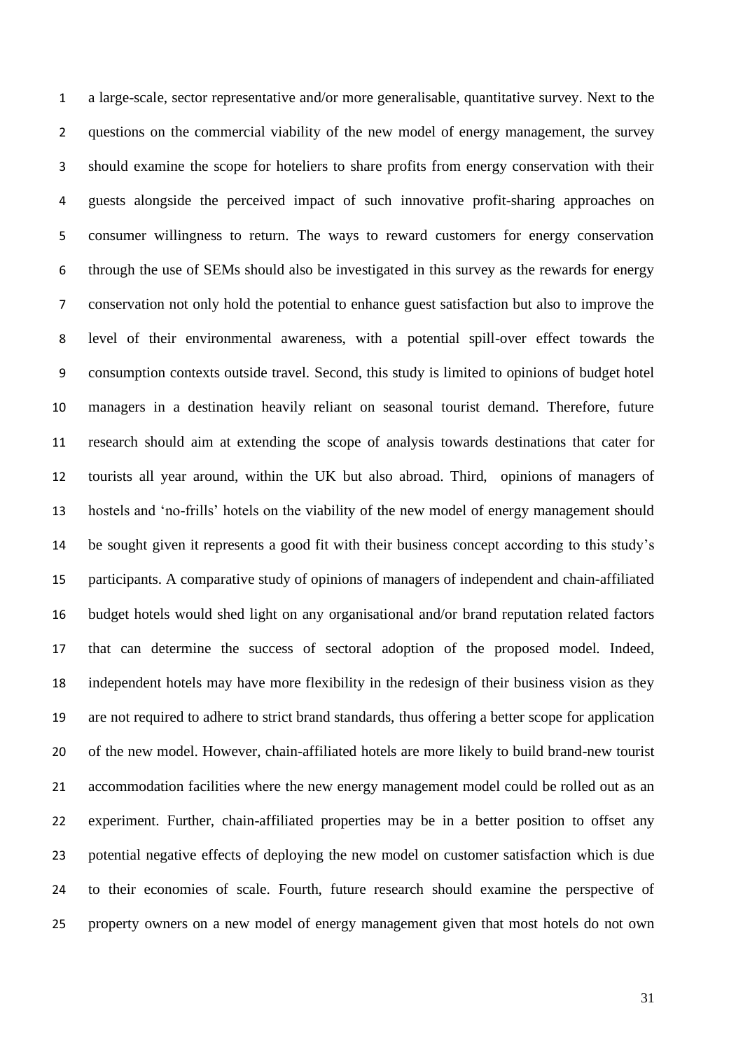a large-scale, sector representative and/or more generalisable, quantitative survey. Next to the questions on the commercial viability of the new model of energy management, the survey should examine the scope for hoteliers to share profits from energy conservation with their guests alongside the perceived impact of such innovative profit-sharing approaches on consumer willingness to return. The ways to reward customers for energy conservation through the use of SEMs should also be investigated in this survey as the rewards for energy conservation not only hold the potential to enhance guest satisfaction but also to improve the level of their environmental awareness, with a potential spill-over effect towards the consumption contexts outside travel. Second, this study is limited to opinions of budget hotel managers in a destination heavily reliant on seasonal tourist demand. Therefore, future research should aim at extending the scope of analysis towards destinations that cater for tourists all year around, within the UK but also abroad. Third, opinions of managers of hostels and 'no-frills' hotels on the viability of the new model of energy management should be sought given it represents a good fit with their business concept according to this study's participants. A comparative study of opinions of managers of independent and chain-affiliated budget hotels would shed light on any organisational and/or brand reputation related factors that can determine the success of sectoral adoption of the proposed model. Indeed, independent hotels may have more flexibility in the redesign of their business vision as they are not required to adhere to strict brand standards, thus offering a better scope for application of the new model. However, chain-affiliated hotels are more likely to build brand-new tourist accommodation facilities where the new energy management model could be rolled out as an experiment. Further, chain-affiliated properties may be in a better position to offset any potential negative effects of deploying the new model on customer satisfaction which is due to their economies of scale. Fourth, future research should examine the perspective of property owners on a new model of energy management given that most hotels do not own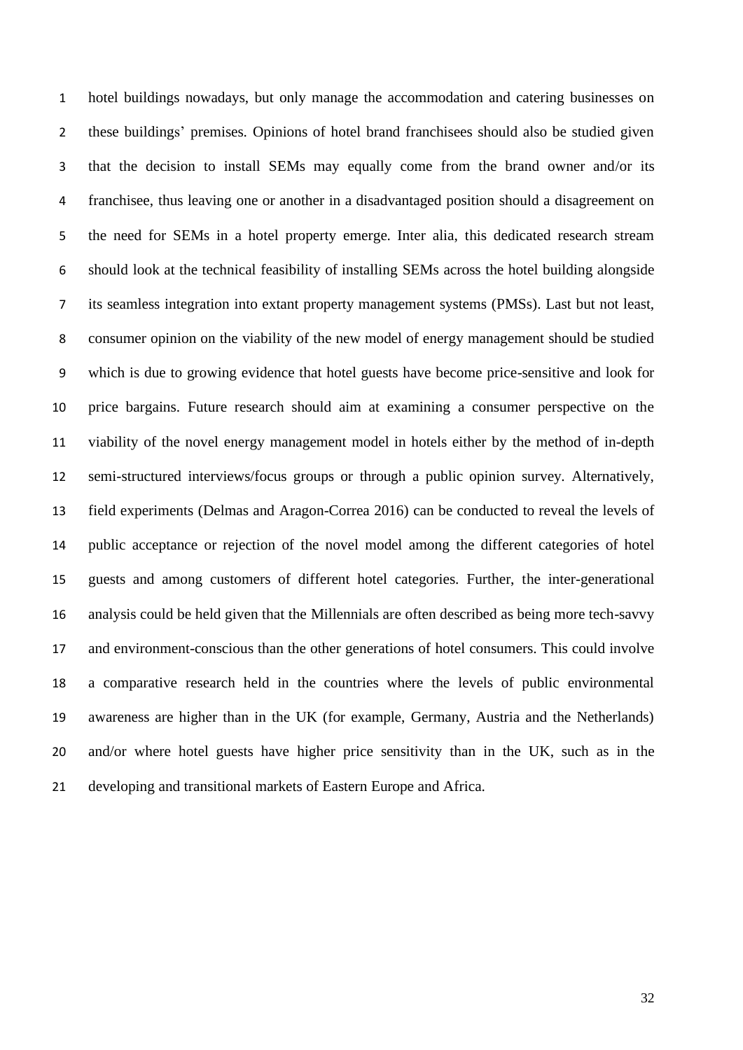hotel buildings nowadays, but only manage the accommodation and catering businesses on these buildings' premises. Opinions of hotel brand franchisees should also be studied given that the decision to install SEMs may equally come from the brand owner and/or its franchisee, thus leaving one or another in a disadvantaged position should a disagreement on the need for SEMs in a hotel property emerge. Inter alia, this dedicated research stream should look at the technical feasibility of installing SEMs across the hotel building alongside its seamless integration into extant property management systems (PMSs). Last but not least, consumer opinion on the viability of the new model of energy management should be studied which is due to growing evidence that hotel guests have become price-sensitive and look for price bargains. Future research should aim at examining a consumer perspective on the viability of the novel energy management model in hotels either by the method of in-depth semi-structured interviews/focus groups or through a public opinion survey. Alternatively, field experiments (Delmas and Aragon-Correa 2016) can be conducted to reveal the levels of public acceptance or rejection of the novel model among the different categories of hotel guests and among customers of different hotel categories. Further, the inter-generational analysis could be held given that the Millennials are often described as being more tech-savvy and environment-conscious than the other generations of hotel consumers. This could involve a comparative research held in the countries where the levels of public environmental awareness are higher than in the UK (for example, Germany, Austria and the Netherlands) and/or where hotel guests have higher price sensitivity than in the UK, such as in the developing and transitional markets of Eastern Europe and Africa.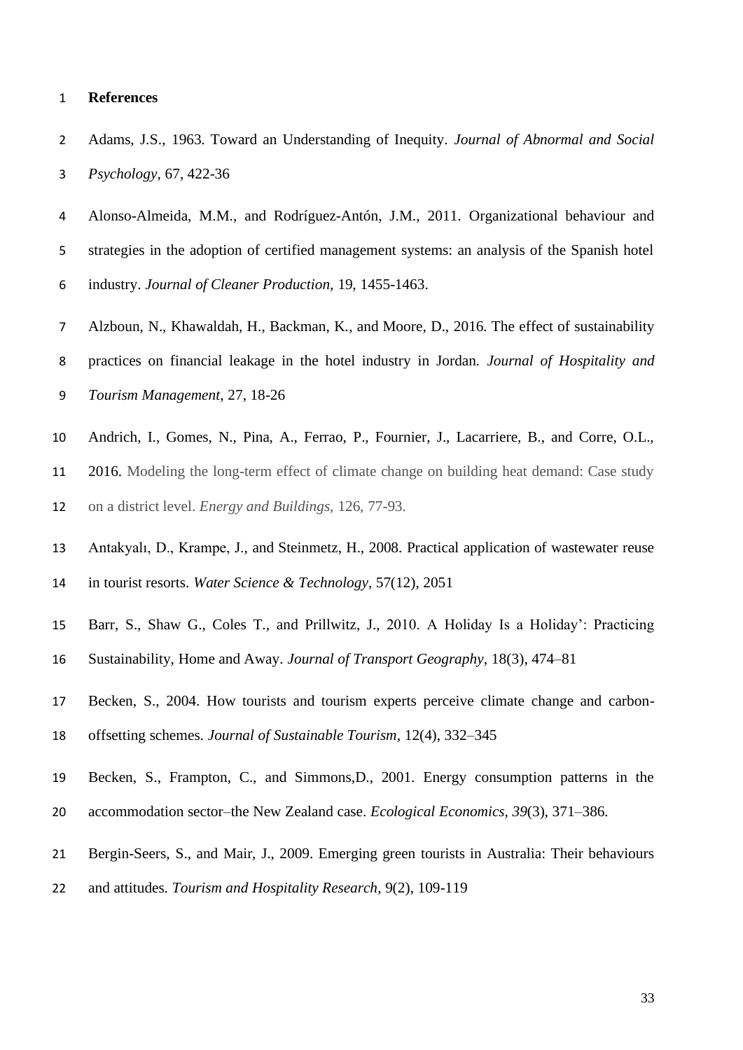### **References**

- Adams, J.S., 1963. Toward an Understanding of Inequity. *Journal of Abnormal and Social Psychology*, 67, 422-36
- Alonso-Almeida, M.M., and Rodríguez-Antón, J.M., 2011. Organizational behaviour and strategies in the adoption of certified management systems: an analysis of the Spanish hotel industry. *Journal of Cleaner Production,* 19, 1455-1463.
- Alzboun, N., Khawaldah, H., Backman, K., and Moore, D., 2016. The effect of sustainability practices on financial leakage in the hotel industry in Jordan. *Journal of Hospitality and Tourism Management*, 27, 18-26
- Andrich, I., Gomes, N., Pina, A., Ferrao, P., Fournier, J., Lacarriere, B., and Corre, O.L.,
- 2016. Modeling the long-term effect of climate change on building heat demand: Case study on a district level. *Energy and Buildings,* 126, 77-93.
- Antakyalı, D., Krampe, J., and Steinmetz, H., 2008. Practical application of wastewater reuse in tourist resorts. *Water Science & Technology*, 57(12), 2051
- Barr, S., Shaw G., Coles T., and Prillwitz, J., 2010. A Holiday Is a Holiday': Practicing
- Sustainability, Home and Away. *Journal of Transport Geography*, 18(3), 474–81
- Becken, S., 2004. How tourists and tourism experts perceive climate change and carbon-offsetting schemes. *Journal of Sustainable Tourism*, 12(4), 332–345
- Becken, S., Frampton, C., and Simmons,D., 2001. Energy consumption patterns in the
- accommodation sector–the New Zealand case. *Ecological Economics, 39*(3), 371–386.
- Bergin-Seers, S., and Mair, J., 2009. Emerging green tourists in Australia: Their behaviours
- and attitudes. *Tourism and Hospitality Research*, 9(2), 109-119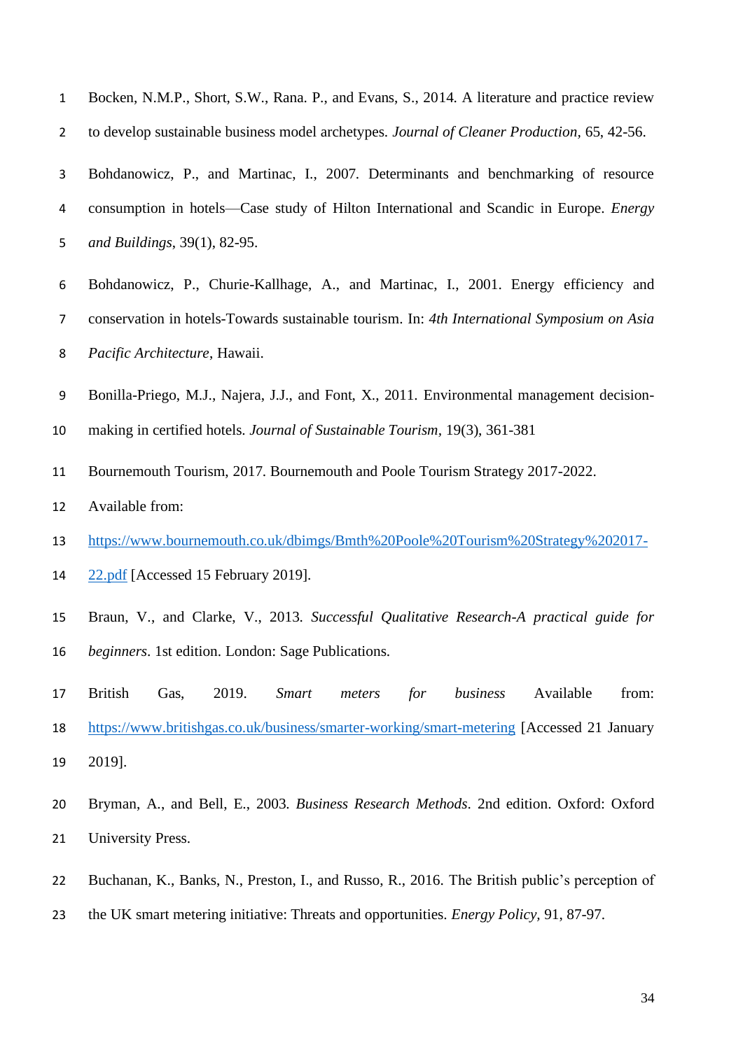| $\mathbf{1}$   | Bocken, N.M.P., Short, S.W., Rana. P., and Evans, S., 2014. A literature and practice review       |
|----------------|----------------------------------------------------------------------------------------------------|
| $\overline{2}$ | to develop sustainable business model archetypes. Journal of Cleaner Production, 65, 42-56.        |
| 3              | Bohdanowicz, P., and Martinac, I., 2007. Determinants and benchmarking of resource                 |
| 4              | consumption in hotels-Case study of Hilton International and Scandic in Europe. Energy             |
| 5              | and Buildings, 39(1), 82-95.                                                                       |
| 6              | Bohdanowicz, P., Churie-Kallhage, A., and Martinac, I., 2001. Energy efficiency and                |
| 7              | conservation in hotels-Towards sustainable tourism. In: 4th International Symposium on Asia        |
| 8              | Pacific Architecture, Hawaii.                                                                      |
| 9              | Bonilla-Priego, M.J., Najera, J.J., and Font, X., 2011. Environmental management decision-         |
| 10             | making in certified hotels. Journal of Sustainable Tourism, 19(3), 361-381                         |
| 11             | Bournemouth Tourism, 2017. Bournemouth and Poole Tourism Strategy 2017-2022.                       |
| 12             | Available from:                                                                                    |
| 13             | https://www.bournemouth.co.uk/dbimgs/Bmth%20Poole%20Tourism%20Strategy%202017-                     |
| 14             | 22.pdf [Accessed 15 February 2019].                                                                |
| 15             | Braun, V., and Clarke, V., 2013. Successful Qualitative Research-A practical guide for             |
| 16             | beginners. 1st edition. London: Sage Publications.                                                 |
| 17             | business<br>Available<br>from:<br><b>British</b><br>2019.<br><b>Smart</b><br>for<br>Gas,<br>meters |
| 18             | https://www.britishgas.co.uk/business/smarter-working/smart-metering [Accessed 21 January          |
| 19             | 2019].                                                                                             |
| 20             | Bryman, A., and Bell, E., 2003. Business Research Methods. 2nd edition. Oxford: Oxford             |
| 21             | University Press.                                                                                  |
| 22             | Buchanan, K., Banks, N., Preston, I., and Russo, R., 2016. The British public's perception of      |
| 23             | the UK smart metering initiative: Threats and opportunities. Energy Policy, 91, 87-97.             |
|                |                                                                                                    |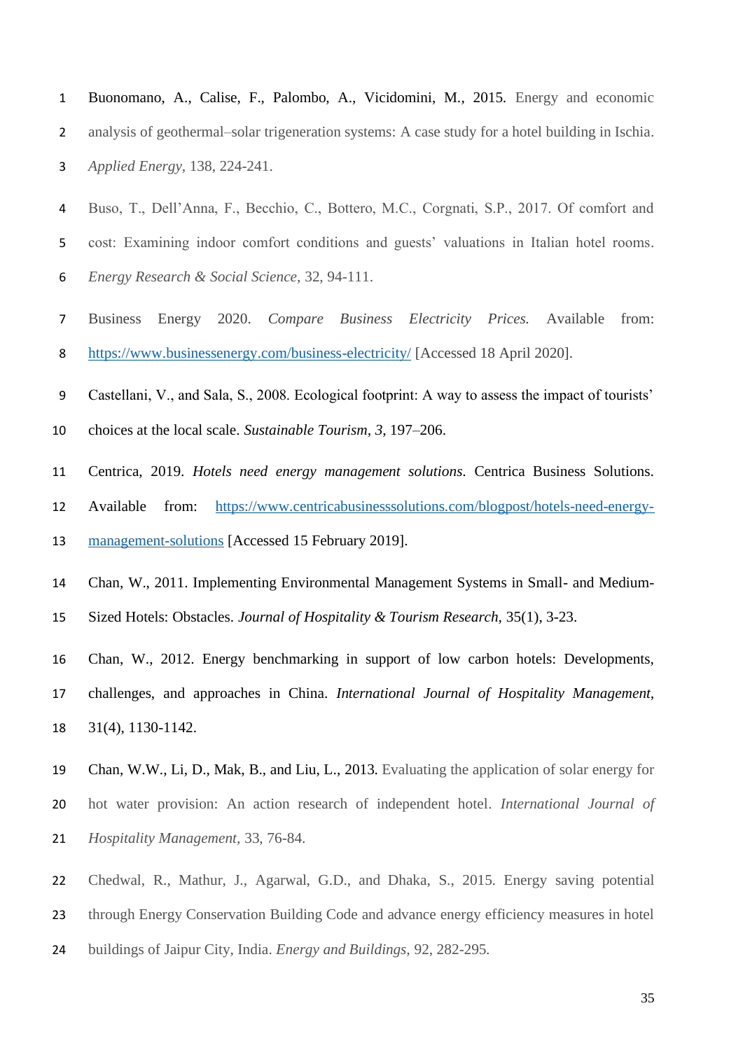- Buonomano, A., Calise, F., Palombo, A., Vicidomini, M., 2015. Energy and economic analysis of geothermal–solar trigeneration systems: A case study for a hotel building in Ischia. *Applied Energy,* 138, 224-241.
- Buso, T., Dell'Anna, F., Becchio, C., Bottero, M.C., Corgnati, S.P., 2017. Of comfort and cost: Examining indoor comfort conditions and guests' valuations in Italian hotel rooms. *Energy Research & Social Science,* 32, 94-111.
- Business Energy 2020. *Compare Business Electricity Prices.* Available from: <https://www.businessenergy.com/business-electricity/> [Accessed 18 April 2020].
- Castellani, V., and Sala, S., 2008. Ecological footprint: A way to assess the impact of tourists'
- choices at the local scale. *Sustainable Tourism, 3*, 197–206.
- Centrica, 2019. *Hotels need energy management solutions*. Centrica Business Solutions.
- Available from: [https://www.centricabusinesssolutions.com/blogpost/hotels-need-energy-](https://www.centricabusinesssolutions.com/blogpost/hotels-need-energy-management-solutions)
- [management-solutions](https://www.centricabusinesssolutions.com/blogpost/hotels-need-energy-management-solutions) [Accessed 15 February 2019].
- Chan, W., 2011. Implementing Environmental Management Systems in Small- and Medium-
- Sized Hotels: Obstacles. *Journal of Hospitality & Tourism Research,* 35(1), 3-23.
- Chan, W., 2012. Energy benchmarking in support of low carbon hotels: Developments, challenges, and approaches in China. *International Journal of Hospitality Management,*  31(4), 1130-1142.
- Chan, W.W., Li, D., Mak, B., and Liu, L., 2013. Evaluating the application of solar energy for hot water provision: An action research of independent hotel. *International Journal of Hospitality Management,* 33, 76-84.
- Chedwal, R., Mathur, J., Agarwal, G.D., and Dhaka, S., 2015. Energy saving potential
- through Energy Conservation Building Code and advance energy efficiency measures in hotel
- buildings of Jaipur City, India. *Energy and Buildings,* 92, 282-295*.*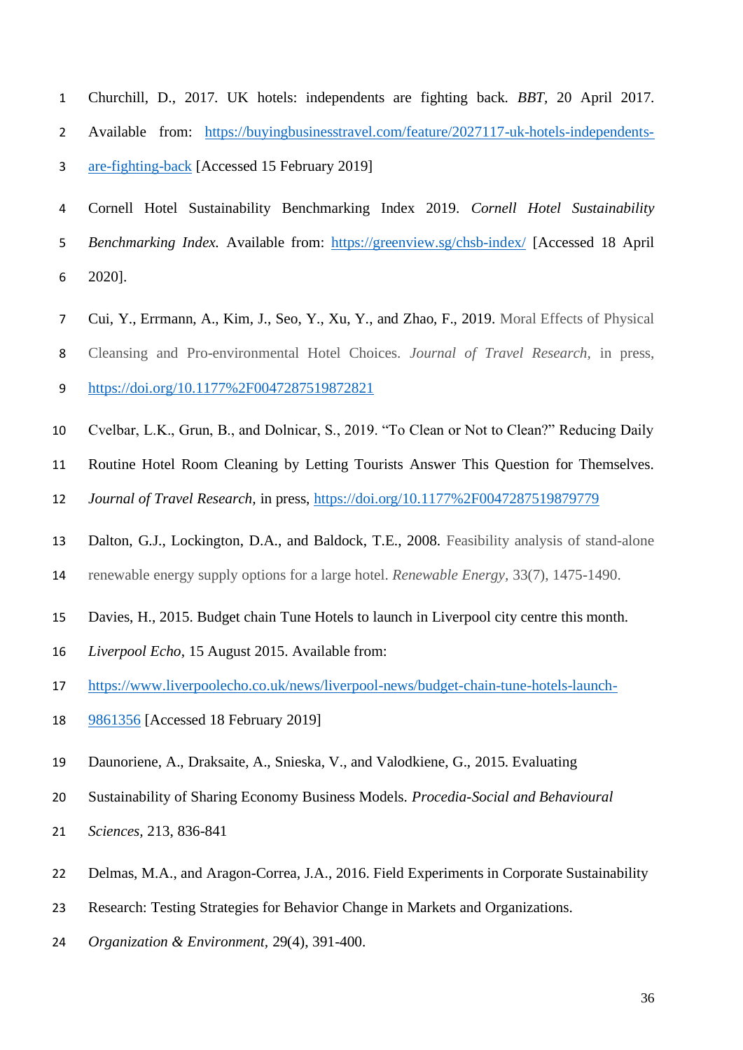- Churchill, D., 2017. UK hotels: independents are fighting back. *BBT,* 20 April 2017. Available from: [https://buyingbusinesstravel.com/feature/2027117-uk-hotels-independents-](https://buyingbusinesstravel.com/feature/2027117-uk-hotels-independents-are-fighting-back)[are-fighting-back](https://buyingbusinesstravel.com/feature/2027117-uk-hotels-independents-are-fighting-back) [Accessed 15 February 2019]
- Cornell Hotel Sustainability Benchmarking Index 2019. *Cornell Hotel Sustainability Benchmarking Index.* Available from: <https://greenview.sg/chsb-index/> [Accessed 18 April 2020].
- Cui, Y., Errmann, A., Kim, J., Seo, Y., Xu, Y., and Zhao, F., 2019. Moral Effects of Physical
- Cleansing and Pro-environmental Hotel Choices. *Journal of Travel Research,* in press,
- <https://doi.org/10.1177%2F0047287519872821>
- Cvelbar, L.K., Grun, B., and Dolnicar, S., 2019. "To Clean or Not to Clean?" Reducing Daily
- Routine Hotel Room Cleaning by Letting Tourists Answer This Question for Themselves.
- *Journal of Travel Research,* in press,<https://doi.org/10.1177%2F0047287519879779>
- Dalton, G.J., Lockington, D.A., and Baldock, T.E., 2008. Feasibility analysis of stand-alone
- renewable energy supply options for a large hotel. *Renewable Energy,* 33(7), 1475-1490.
- Davies, H., 2015. Budget chain Tune Hotels to launch in Liverpool city centre this month.
- *Liverpool Echo*, 15 August 2015. Available from:
- [https://www.liverpoolecho.co.uk/news/liverpool-news/budget-chain-tune-hotels-launch-](https://www.liverpoolecho.co.uk/news/liverpool-news/budget-chain-tune-hotels-launch-9861356)
- [9861356](https://www.liverpoolecho.co.uk/news/liverpool-news/budget-chain-tune-hotels-launch-9861356) [Accessed 18 February 2019]
- Daunoriene, A., Draksaite, A., Snieska, V., and Valodkiene, G., 2015. Evaluating
- Sustainability of Sharing Economy Business Models. *Procedia-Social and Behavioural*
- *Sciences,* 213, 836-841
- Delmas, M.A., and Aragon-Correa, J.A., 2016. Field Experiments in Corporate Sustainability
- Research: Testing Strategies for Behavior Change in Markets and Organizations.
- *Organization & Environment,* 29(4), 391-400.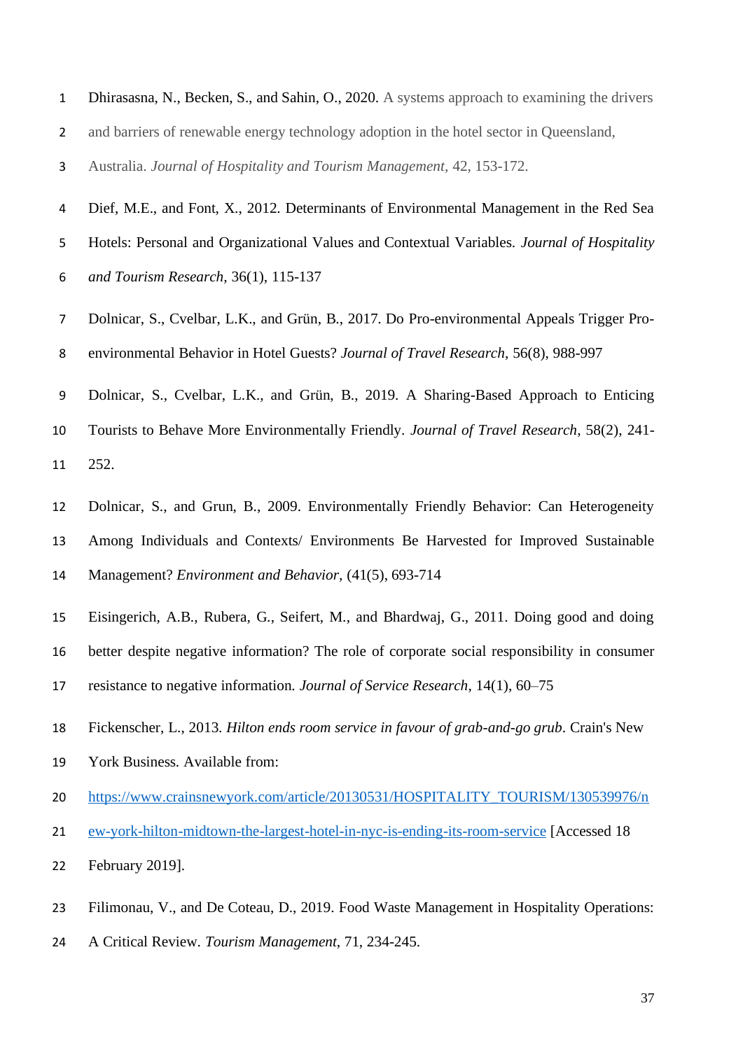| Dhirasasna, N., Becken, S., and Sahin, O., 2020. A systems approach to examining the drivers |
|----------------------------------------------------------------------------------------------|
| and barriers of renewable energy technology adoption in the hotel sector in Queensland.      |

- Australia. *Journal of Hospitality and Tourism Management,* 42, 153-172.
- Dief, M.E., and Font, X., 2012. Determinants of Environmental Management in the Red Sea
- Hotels: Personal and Organizational Values and Contextual Variables. *Journal of Hospitality*
- *and Tourism Research,* 36(1), 115-137
- Dolnicar, S., Cvelbar, L.K., and Grün, B., 2017. Do Pro-environmental Appeals Trigger Pro-environmental Behavior in Hotel Guests? *Journal of Travel Research*, 56(8), 988-997
- Dolnicar, S., Cvelbar, L.K., and Grün, B., 2019. A Sharing-Based Approach to Enticing
- Tourists to Behave More Environmentally Friendly. *Journal of Travel Research*, 58(2), 241- 252.
- Dolnicar, S., and Grun, B., 2009. Environmentally Friendly Behavior: Can Heterogeneity Among Individuals and Contexts/ Environments Be Harvested for Improved Sustainable Management? *Environment and Behavior,* (41(5), 693-714
- Eisingerich, A.B., Rubera, G., Seifert, M., and Bhardwaj, G., 2011. Doing good and doing better despite negative information? The role of corporate social responsibility in consumer
- resistance to negative information. *Journal of Service Research*, 14(1), 60–75
- Fickenscher, L., 2013. *Hilton ends room service in favour of grab-and-go grub*. Crain's New
- York Business. Available from:
- [https://www.crainsnewyork.com/article/20130531/HOSPITALITY\\_TOURISM/130539976/n](https://www.crainsnewyork.com/article/20130531/HOSPITALITY_TOURISM/130539976/new-york-hilton-midtown-the-largest-hotel-in-nyc-is-ending-its-room-service)
- [ew-york-hilton-midtown-the-largest-hotel-in-nyc-is-ending-its-room-service](https://www.crainsnewyork.com/article/20130531/HOSPITALITY_TOURISM/130539976/new-york-hilton-midtown-the-largest-hotel-in-nyc-is-ending-its-room-service) [Accessed 18
- February 2019].
- Filimonau, V., and De Coteau, D., 2019. Food Waste Management in Hospitality Operations:
- A Critical Review. *Tourism Management*, 71, 234-245.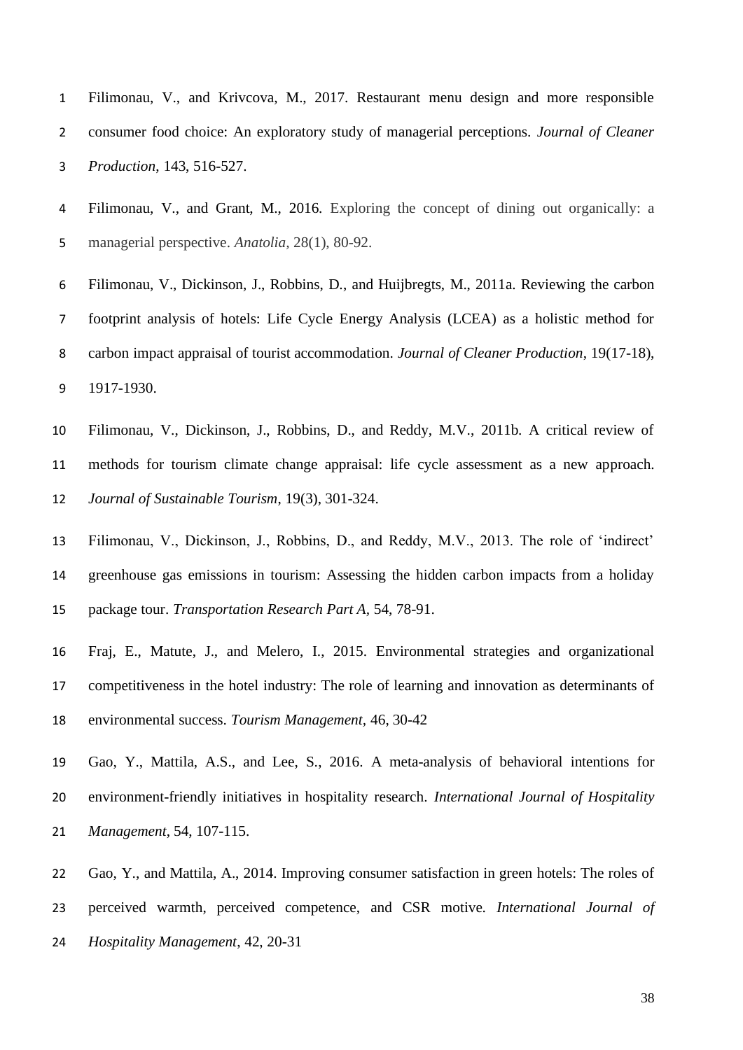Filimonau, V., and Krivcova, M., 2017. Restaurant menu design and more responsible consumer food choice: An exploratory study of managerial perceptions. *Journal of Cleaner Production*, 143, 516-527.

 Filimonau, V., and Grant, M., 2016. Exploring the concept of dining out organically: a managerial perspective. *Anatolia,* 28(1), 80-92.

- Filimonau, V., Dickinson, J., Robbins, D., and Huijbregts, M., 2011a. Reviewing the carbon footprint analysis of hotels: Life Cycle Energy Analysis (LCEA) as a holistic method for carbon impact appraisal of tourist accommodation. *Journal of Cleaner Production*, 19(17-18), 1917-1930.
- Filimonau, V., Dickinson, J., Robbins, D., and Reddy, M.V., 2011b. A critical review of methods for tourism climate change appraisal: life cycle assessment as a new approach. *Journal of Sustainable Tourism*, 19(3), 301-324.
- Filimonau, V., Dickinson, J., Robbins, D., and Reddy, M.V., 2013. The role of 'indirect' greenhouse gas emissions in tourism: Assessing the hidden carbon impacts from a holiday package tour. *Transportation Research Part A,* 54, 78-91.
- Fraj, E., Matute, J., and Melero, I., 2015. Environmental strategies and organizational competitiveness in the hotel industry: The role of learning and innovation as determinants of environmental success. *Tourism Management,* 46, 30-42
- Gao, Y., Mattila, A.S., and Lee, S., 2016. A meta-analysis of behavioral intentions for environment-friendly initiatives in hospitality research. *International Journal of Hospitality Management*, 54, 107-115.
- Gao, Y., and Mattila, A., 2014. Improving consumer satisfaction in green hotels: The roles of
- perceived warmth, perceived competence, and CSR motive. *International Journal of*
- *Hospitality Management*, 42, 20-31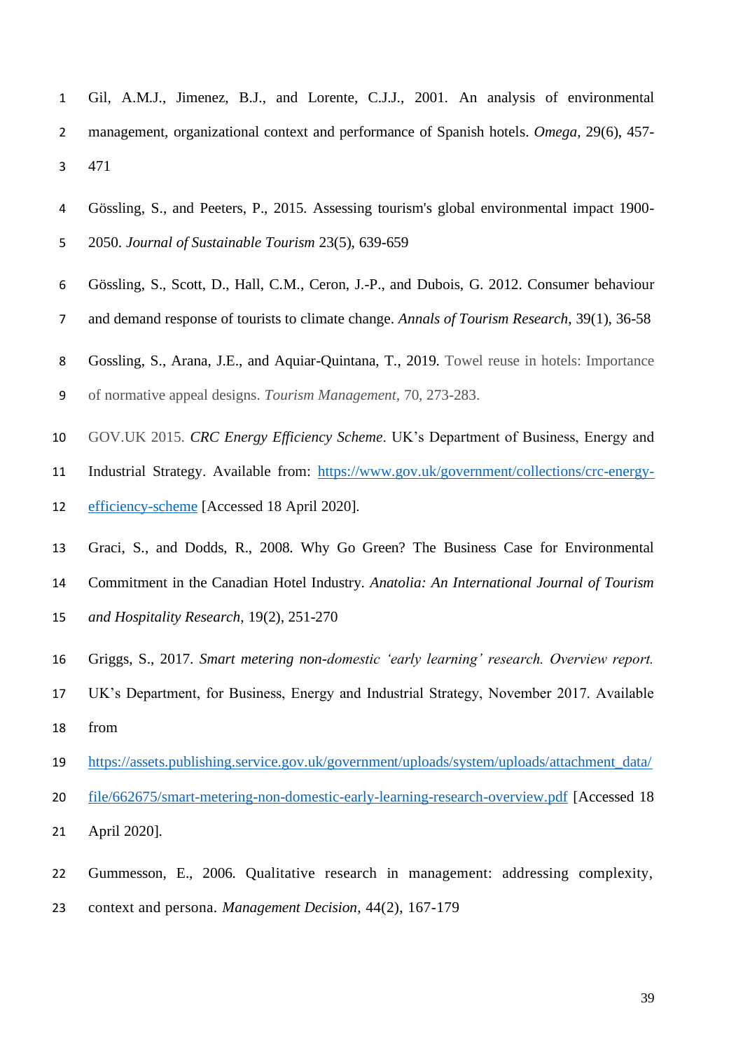- Gil, A.M.J., Jimenez, B.J., and Lorente, C.J.J., 2001. An analysis of environmental management, organizational context and performance of Spanish hotels. *Omega,* 29(6), 457- 471
- Gössling, S., and Peeters, P., 2015. Assessing tourism's global environmental impact 1900- 2050. *Journal of Sustainable Tourism* 23(5), 639-659
- Gössling, S., Scott, D., Hall, C.M., Ceron, J.-P., and Dubois, G. 2012. Consumer behaviour
- and demand response of tourists to climate change. *Annals of Tourism Research*, 39(1), 36-58
- Gossling, S., Arana, J.E., and Aquiar-Quintana, T., 2019. Towel reuse in hotels: Importance
- of normative appeal designs. *Tourism Management,* 70, 273-283.
- GOV.UK 2015. *CRC Energy Efficiency Scheme*. UK's Department of Business, Energy and
- Industrial Strategy. Available from: [https://www.gov.uk/government/collections/crc-energy-](https://www.gov.uk/government/collections/crc-energy-efficiency-scheme)
- [efficiency-scheme](https://www.gov.uk/government/collections/crc-energy-efficiency-scheme) [Accessed 18 April 2020].
- Graci, S., and Dodds, R., 2008. Why Go Green? The Business Case for Environmental Commitment in the Canadian Hotel Industry. *Anatolia: An International Journal of Tourism and Hospitality Research*, 19(2), 251-270
- Griggs, S., 2017. *Smart metering non-domestic 'early learning' research. Overview report.*
- UK's Department, for Business, Energy and Industrial Strategy, November 2017. Available from
- [https://assets.publishing.service.gov.uk/government/uploads/system/uploads/attachment\\_data/](https://assets.publishing.service.gov.uk/government/uploads/system/uploads/attachment_data/file/662675/smart-metering-non-domestic-early-learning-research-overview.pdf)
- [file/662675/smart-metering-non-domestic-early-learning-research-overview.pdf](https://assets.publishing.service.gov.uk/government/uploads/system/uploads/attachment_data/file/662675/smart-metering-non-domestic-early-learning-research-overview.pdf) [Accessed 18
- April 2020].
- Gummesson, E., 2006. Qualitative research in management: addressing complexity, context and persona. *Management Decision*, 44(2), 167-179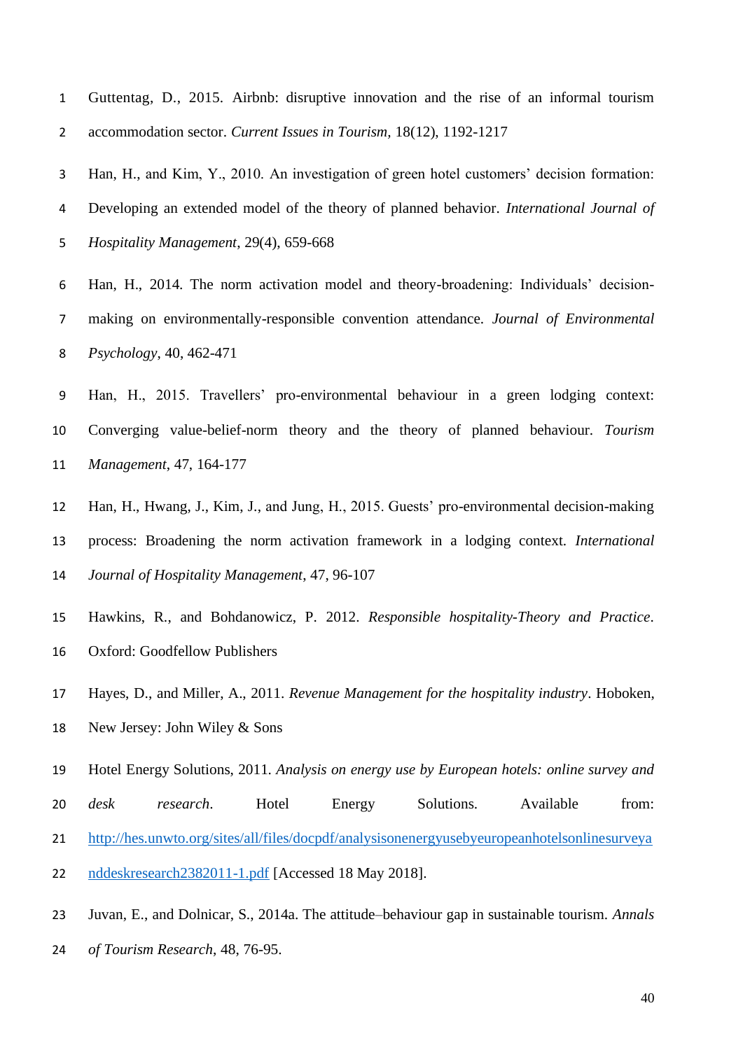Guttentag, D., 2015. Airbnb: disruptive innovation and the rise of an informal tourism accommodation sector. *Current Issues in Tourism,* 18(12), 1192-1217

 Han, H., and Kim, Y., 2010. An investigation of green hotel customers' decision formation: Developing an extended model of the theory of planned behavior. *International Journal of Hospitality Management*, 29(4), 659-668

 Han, H., 2014. The norm activation model and theory-broadening: Individuals' decision- making on environmentally-responsible convention attendance. *Journal of Environmental Psychology*, 40, 462-471

 Han, H., 2015. Travellers' pro-environmental behaviour in a green lodging context: Converging value-belief-norm theory and the theory of planned behaviour. *Tourism Management*, 47, 164-177

 Han, H., Hwang, J., Kim, J., and Jung, H., 2015. Guests' pro-environmental decision-making process: Broadening the norm activation framework in a lodging context. *International Journal of Hospitality Management*, 47, 96-107

 Hawkins, R., and Bohdanowicz, P. 2012. *Responsible hospitality-Theory and Practice*. Oxford: Goodfellow Publishers

Hayes, D., and Miller, A., 2011. *Revenue Management for the hospitality industry*. Hoboken,

New Jersey: John Wiley & Sons

Hotel Energy Solutions, 2011. *Analysis on energy use by European hotels: online survey and* 

*desk research*. Hotel Energy Solutions. Available from:

[http://hes.unwto.org/sites/all/files/docpdf/analysisonenergyusebyeuropeanhotelsonlinesurveya](http://hes.unwto.org/sites/all/files/docpdf/analysisonenergyusebyeuropeanhotelsonlinesurveyanddeskresearch2382011-1.pdf)

[nddeskresearch2382011-1.pdf](http://hes.unwto.org/sites/all/files/docpdf/analysisonenergyusebyeuropeanhotelsonlinesurveyanddeskresearch2382011-1.pdf) [Accessed 18 May 2018].

Juvan, E., and Dolnicar, S., 2014a. The attitude–behaviour gap in sustainable tourism. *Annals* 

*of Tourism Research*, 48, 76-95.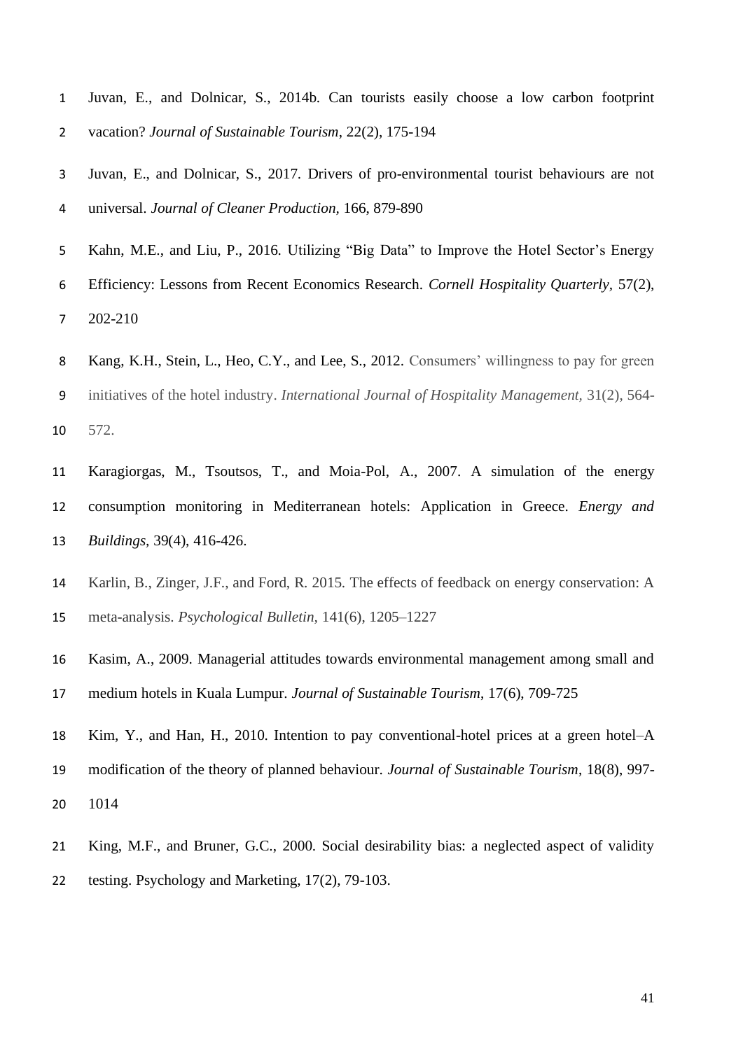- Juvan, E., and Dolnicar, S., 2014b. Can tourists easily choose a low carbon footprint vacation? *Journal of Sustainable Tourism*, 22(2), 175-194
- Juvan, E., and Dolnicar, S., 2017. Drivers of pro-environmental tourist behaviours are not universal. *Journal of Cleaner Production,* 166, 879-890
- Kahn, M.E., and Liu, P., 2016. Utilizing "Big Data" to Improve the Hotel Sector's Energy
- Efficiency: Lessons from Recent Economics Research. *Cornell Hospitality Quarterly,* 57(2), 202-210
- Kang, K.H., Stein, L., Heo, C.Y., and Lee, S., 2012. Consumers' willingness to pay for green initiatives of the hotel industry. *International Journal of Hospitality Management,* 31(2), 564- 572.
- Karagiorgas, M., Tsoutsos, T., and Moia-Pol, A., 2007. A simulation of the energy consumption monitoring in Mediterranean hotels: Application in Greece. *Energy and Buildings,* 39(4), 416-426.
- Karlin, B., Zinger, J.F., and Ford, R. 2015. The effects of feedback on energy conservation: A meta-analysis. *Psychological Bulletin,* 141(6), 1205–1227
- Kasim, A., 2009. Managerial attitudes towards environmental management among small and
- medium hotels in Kuala Lumpur. *Journal of Sustainable Tourism*, 17(6), 709-725
- Kim, Y., and Han, H., 2010. Intention to pay conventional-hotel prices at a green hotel–A modification of the theory of planned behaviour. *Journal of Sustainable Tourism*, 18(8), 997-
- 1014
- King, M.F., and Bruner, G.C., 2000. Social desirability bias: a neglected aspect of validity testing. Psychology and Marketing, 17(2), 79-103.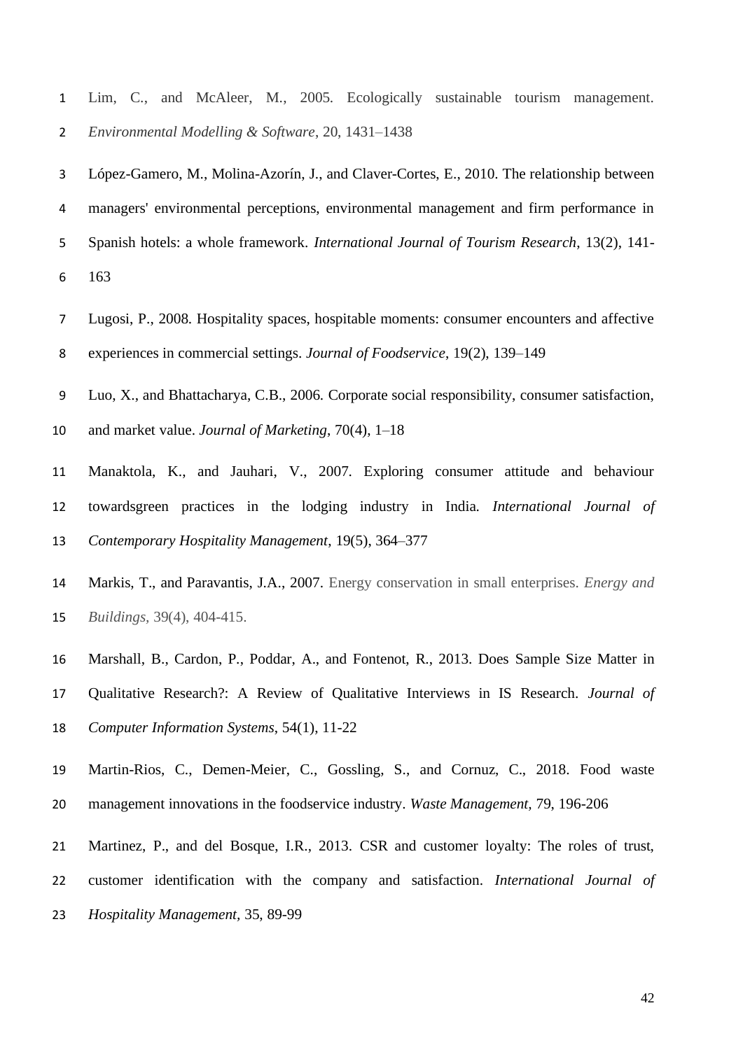Lim, C., and McAleer, M., 2005. Ecologically sustainable tourism management. *Environmental Modelling & Software*, 20, 1431–1438

 López-Gamero, M., Molina-Azorín, J., and Claver-Cortes, E., 2010. The relationship between managers' environmental perceptions, environmental management and firm performance in Spanish hotels: a whole framework. *International Journal of Tourism Research*, 13(2), 141- 163

- Lugosi, P., 2008. Hospitality spaces, hospitable moments: consumer encounters and affective experiences in commercial settings. *Journal of Foodservice*, 19(2), 139–149
- Luo, X., and Bhattacharya, C.B., 2006. Corporate social responsibility, consumer satisfaction,
- and market value. *Journal of Marketing*, 70(4), 1–18
- Manaktola, K., and Jauhari, V., 2007. Exploring consumer attitude and behaviour towardsgreen practices in the lodging industry in India. *International Journal of Contemporary Hospitality Management*, 19(5), 364–377
- Markis, T., and Paravantis, J.A., 2007. Energy conservation in small enterprises. *Energy and Buildings,* 39(4), 404-415.
- Marshall, B., Cardon, P., Poddar, A., and Fontenot, R., 2013. Does Sample Size Matter in
- Qualitative Research?: A Review of Qualitative Interviews in IS Research. *Journal of Computer Information Systems*, 54(1), 11-22
- Martin-Rios, C., Demen-Meier, C., Gossling, S., and Cornuz, C., 2018. Food waste management innovations in the foodservice industry. *Waste Management,* 79, 196-206
- Martinez, P., and del Bosque, I.R., 2013. CSR and customer loyalty: The roles of trust,
- customer identification with the company and satisfaction. *International Journal of*
- *Hospitality Management,* 35, 89-99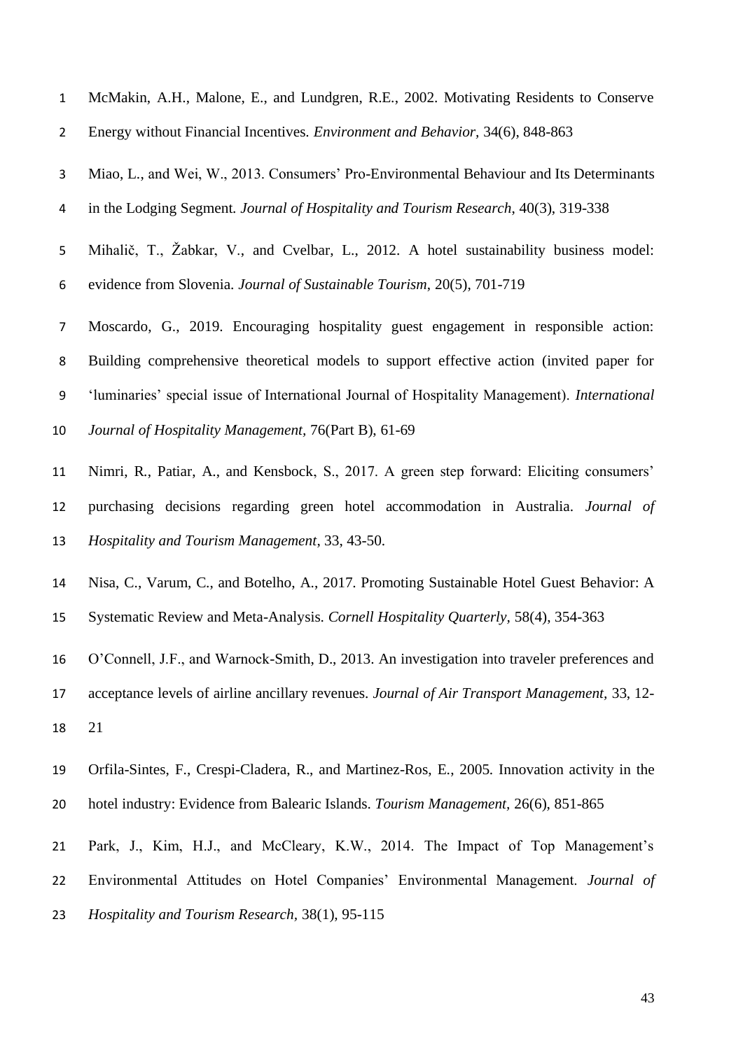| $\mathbf{1}$   | McMakin, A.H., Malone, E., and Lundgren, R.E., 2002. Motivating Residents to Conserve         |
|----------------|-----------------------------------------------------------------------------------------------|
| $\overline{2}$ | Energy without Financial Incentives. Environment and Behavior, 34(6), 848-863                 |
| 3              | Miao, L., and Wei, W., 2013. Consumers' Pro-Environmental Behaviour and Its Determinants      |
| 4              | in the Lodging Segment. Journal of Hospitality and Tourism Research, 40(3), 319-338           |
| 5              | Mihalič, T., Žabkar, V., and Cvelbar, L., 2012. A hotel sustainability business model:        |
| 6              | evidence from Slovenia. Journal of Sustainable Tourism, 20(5), 701-719                        |
| 7              | Moscardo, G., 2019. Encouraging hospitality guest engagement in responsible action:           |
| 8              | Building comprehensive theoretical models to support effective action (invited paper for      |
| 9              | 'luminaries' special issue of International Journal of Hospitality Management). International |
| 10             | Journal of Hospitality Management, 76(Part B), 61-69                                          |
| 11             | Nimri, R., Patiar, A., and Kensbock, S., 2017. A green step forward: Eliciting consumers'     |
| 12             | purchasing decisions regarding green hotel accommodation in Australia. Journal of             |
| 13             | Hospitality and Tourism Management, 33, 43-50.                                                |
| 14             | Nisa, C., Varum, C., and Botelho, A., 2017. Promoting Sustainable Hotel Guest Behavior: A     |
| 15             | Systematic Review and Meta-Analysis. Cornell Hospitality Quarterly, 58(4), 354-363            |

- O'Connell, J.F., and Warnock-Smith, D., 2013. An investigation into traveler preferences and
- acceptance levels of airline ancillary revenues. *Journal of Air Transport Management,* 33, 12- 21
- Orfila-Sintes, F., Crespi-Cladera, R., and Martinez-Ros, E., 2005. Innovation activity in the hotel industry: Evidence from Balearic Islands. *Tourism Management,* 26(6), 851-865
- Park, J., Kim, H.J., and McCleary, K.W., 2014. The Impact of Top Management's
- Environmental Attitudes on Hotel Companies' Environmental Management. *Journal of*
- *Hospitality and Tourism Research,* 38(1), 95-115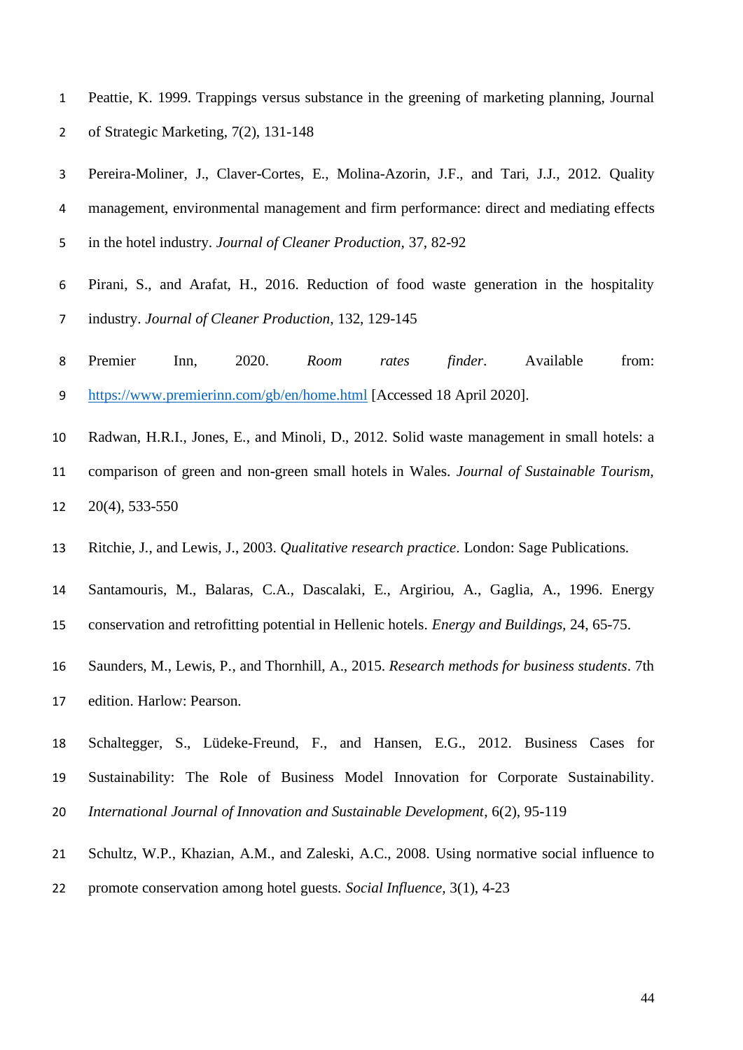- Peattie, K. 1999. Trappings versus substance in the greening of marketing planning, Journal of Strategic Marketing, 7(2), 131-148
- Pereira-Moliner, J., Claver-Cortes, E., Molina-Azorin, J.F., and Tari, J.J., 2012. Quality management, environmental management and firm performance: direct and mediating effects in the hotel industry. *Journal of Cleaner Production,* 37, 82-92
- Pirani, S., and Arafat, H., 2016. Reduction of food waste generation in the hospitality industry. *Journal of Cleaner Production*, 132, 129-145
- Premier Inn, 2020. *Room rates finder*. Available from: <https://www.premierinn.com/gb/en/home.html> [Accessed 18 April 2020].
- Radwan, H.R.I., Jones, E., and Minoli, D., 2012. Solid waste management in small hotels: a
- comparison of green and non-green small hotels in Wales. *Journal of Sustainable Tourism,*  20(4), 533-550
- Ritchie, J., and Lewis, J., 2003. *Qualitative research practice*. London: Sage Publications.
- Santamouris, M., Balaras, C.A., Dascalaki, E., Argiriou, A., Gaglia, A., 1996. Energy conservation and retrofitting potential in Hellenic hotels. *Energy and Buildings,* 24, 65-75.
- Saunders, M., Lewis, P., and Thornhill, A., 2015. *Research methods for business students*. 7th
- edition. Harlow: Pearson.
- Schaltegger, S., Lüdeke-Freund, F., and Hansen, E.G., 2012. Business Cases for
- Sustainability: The Role of Business Model Innovation for Corporate Sustainability.
- *International Journal of Innovation and Sustainable Development*, 6(2), 95-119
- Schultz, W.P., Khazian, A.M., and Zaleski, A.C., 2008. Using normative social influence to
- promote conservation among hotel guests. *Social Influence,* 3(1), 4-23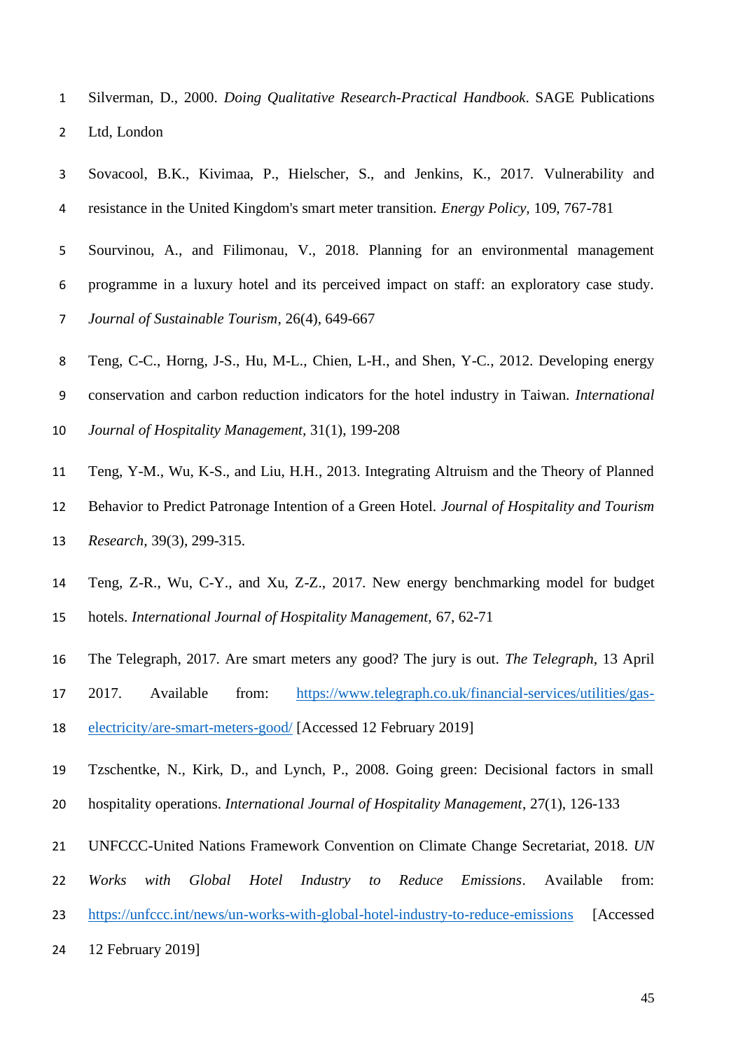- Silverman, D., 2000. *Doing Qualitative Research-Practical Handbook*. SAGE Publications Ltd, London
- Sovacool, B.K., Kivimaa, P., Hielscher, S., and Jenkins, K., 2017. Vulnerability and resistance in the United Kingdom's smart meter transition. *Energy Policy,* 109, 767-781
- Sourvinou, A., and Filimonau, V., 2018. Planning for an environmental management programme in a luxury hotel and its perceived impact on staff: an exploratory case study. *Journal of Sustainable Tourism*, 26(4), 649-667
- Teng, C-C., Horng, J-S., Hu, M-L., Chien, L-H., and Shen, Y-C., 2012. Developing energy conservation and carbon reduction indicators for the hotel industry in Taiwan. *International Journal of Hospitality Management,* 31(1), 199-208
- Teng, Y-M., Wu, K-S., and Liu, H.H., 2013. Integrating Altruism and the Theory of Planned Behavior to Predict Patronage Intention of a Green Hotel. *Journal of Hospitality and Tourism Research,* 39(3), 299-315.
- Teng, Z-R., Wu, C-Y., and Xu, Z-Z., 2017. New energy benchmarking model for budget hotels. *International Journal of Hospitality Management,* 67, 62-71
- The Telegraph, 2017. Are smart meters any good? The jury is out. *The Telegraph*, 13 April
- 2017. Available from: [https://www.telegraph.co.uk/financial-services/utilities/gas-](https://www.telegraph.co.uk/financial-services/utilities/gas-electricity/are-smart-meters-good/)
- [electricity/are-smart-meters-good/](https://www.telegraph.co.uk/financial-services/utilities/gas-electricity/are-smart-meters-good/) [Accessed 12 February 2019]
- Tzschentke, N., Kirk, D., and Lynch, P., 2008. Going green: Decisional factors in small hospitality operations. *International Journal of Hospitality Management*, 27(1), 126-133
- UNFCCC-United Nations Framework Convention on Climate Change Secretariat, 2018. *UN*
- *Works with Global Hotel Industry to Reduce Emissions*. Available from:
- <https://unfccc.int/news/un-works-with-global-hotel-industry-to-reduce-emissions> [Accessed]
- 12 February 2019]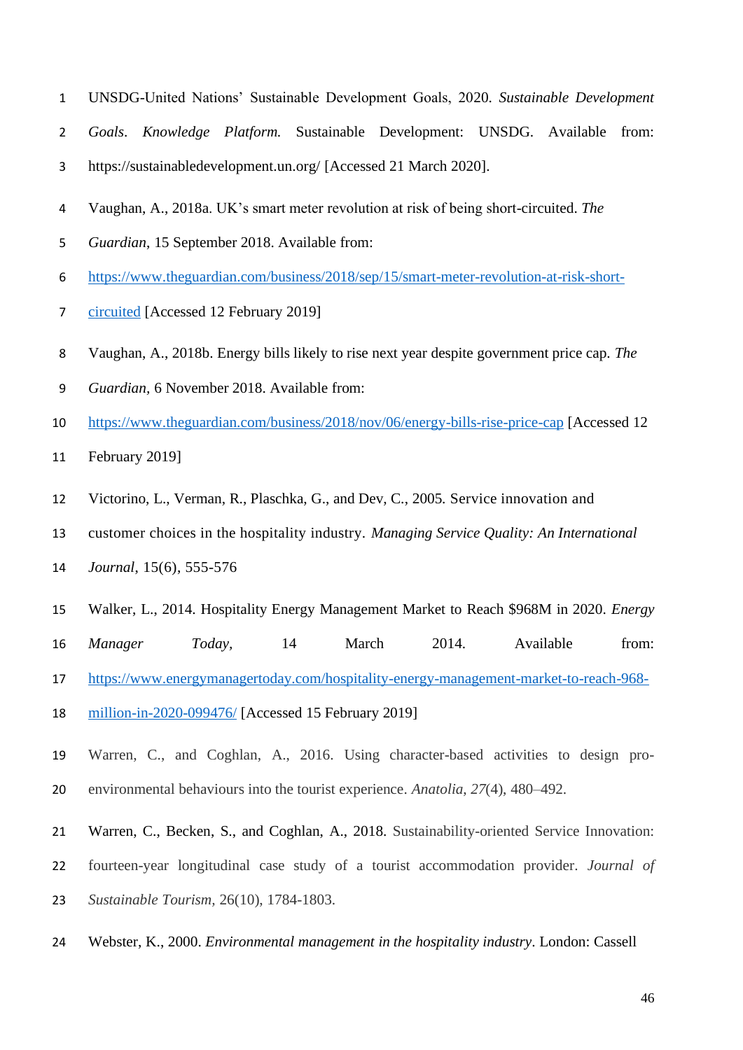- UNSDG-United Nations' Sustainable Development Goals, 2020. *Sustainable Development*
- *Goals*. *Knowledge Platform.* Sustainable Development: UNSDG. Available from:
- https://sustainabledevelopment.un.org/ [Accessed 21 March 2020].
- Vaughan, A., 2018a. UK's smart meter revolution at risk of being short-circuited. *The*
- *Guardian*, 15 September 2018. Available from:
- [https://www.theguardian.com/business/2018/sep/15/smart-meter-revolution-at-risk-short-](https://www.theguardian.com/business/2018/sep/15/smart-meter-revolution-at-risk-short-circuited)
- [circuited](https://www.theguardian.com/business/2018/sep/15/smart-meter-revolution-at-risk-short-circuited) [Accessed 12 February 2019]
- Vaughan, A., 2018b. Energy bills likely to rise next year despite government price cap. *The*
- *Guardian,* 6 November 2018. Available from:
- <https://www.theguardian.com/business/2018/nov/06/energy-bills-rise-price-cap> [Accessed 12
- February 2019]
- Victorino, L., Verman, R., Plaschka, G., and Dev, C., 2005. Service innovation and
- customer choices in the hospitality industry. *Managing Service Quality: An International*
- *Journal*, 15(6), 555-576
- Walker, L., 2014. Hospitality Energy Management Market to Reach \$968M in 2020. *Energy*
- *Manager Today,* 14 March 2014. Available from:
- [https://www.energymanagertoday.com/hospitality-energy-management-market-to-reach-968-](https://www.energymanagertoday.com/hospitality-energy-management-market-to-reach-968-million-in-2020-099476/)
- [million-in-2020-099476/](https://www.energymanagertoday.com/hospitality-energy-management-market-to-reach-968-million-in-2020-099476/) [Accessed 15 February 2019]
- Warren, C., and Coghlan, A., 2016. Using character-based activities to design pro-environmental behaviours into the tourist experience. *Anatolia*, *27*(4), 480–492.
- Warren, C., Becken, S., and Coghlan, A., 2018. Sustainability-oriented Service Innovation:
- fourteen-year longitudinal case study of a tourist accommodation provider. *Journal of*
- *Sustainable Tourism,* 26(10), 1784-1803.
- Webster, K., 2000. *Environmental management in the hospitality industry*. London: Cassell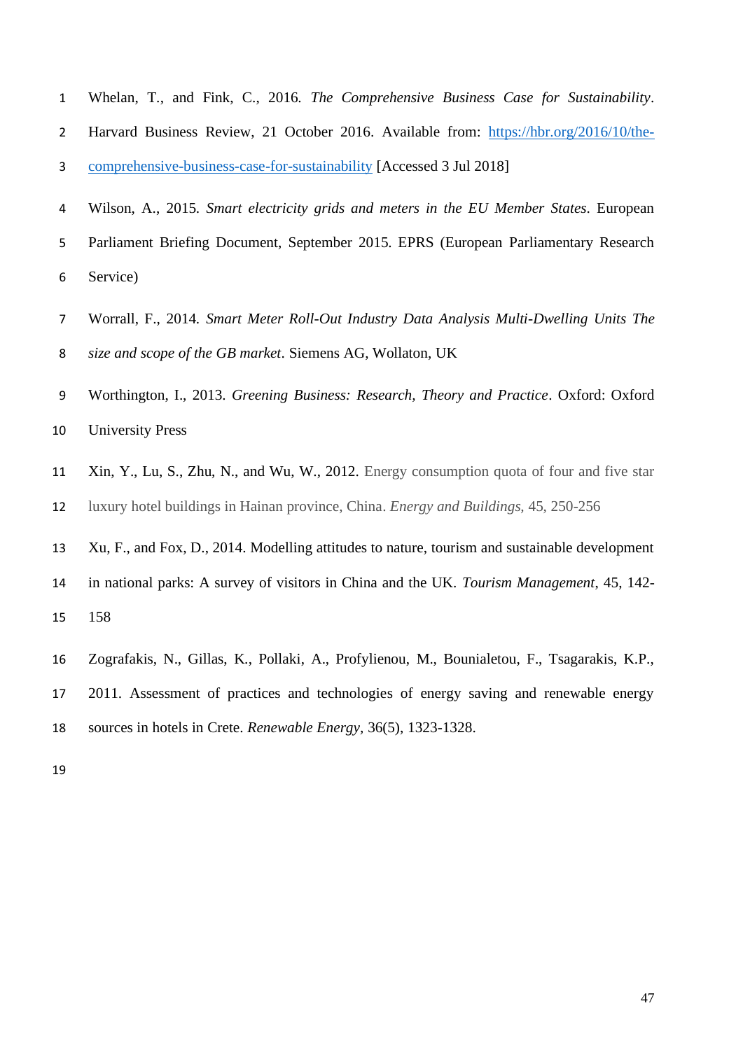- Whelan, T., and Fink, C., 2016. *The Comprehensive Business Case for Sustainability*. Harvard Business Review, 21 October 2016. Available from: [https://hbr.org/2016/10/the-](https://hbr.org/2016/10/the-comprehensive-business-case-for-sustainability)[comprehensive-business-case-for-sustainability](https://hbr.org/2016/10/the-comprehensive-business-case-for-sustainability) [Accessed 3 Jul 2018]
- Wilson, A., 2015. *Smart electricity grids and meters in the EU Member States*. European Parliament Briefing Document, September 2015. EPRS (European Parliamentary Research Service)
- Worrall, F., 2014. *Smart Meter Roll-Out Industry Data Analysis Multi-Dwelling Units The size and scope of the GB market*. Siemens AG, Wollaton, UK
- Worthington, I., 2013*. Greening Business: Research, Theory and Practice*. Oxford: Oxford University Press
- Xin, Y., Lu, S., Zhu, N., and Wu, W., 2012. Energy consumption quota of four and five star luxury hotel buildings in Hainan province, China. *Energy and Buildings,* 45, 250-256
- Xu, F., and Fox, D., 2014. Modelling attitudes to nature, tourism and sustainable development
- in national parks: A survey of visitors in China and the UK. *Tourism Management*, 45, 142- 158
- Zografakis, N., Gillas, K., Pollaki, A., Profylienou, M., Bounialetou, F., Tsagarakis, K.P., 2011. Assessment of practices and technologies of energy saving and renewable energy sources in hotels in Crete. *Renewable Energy,* 36(5), 1323-1328.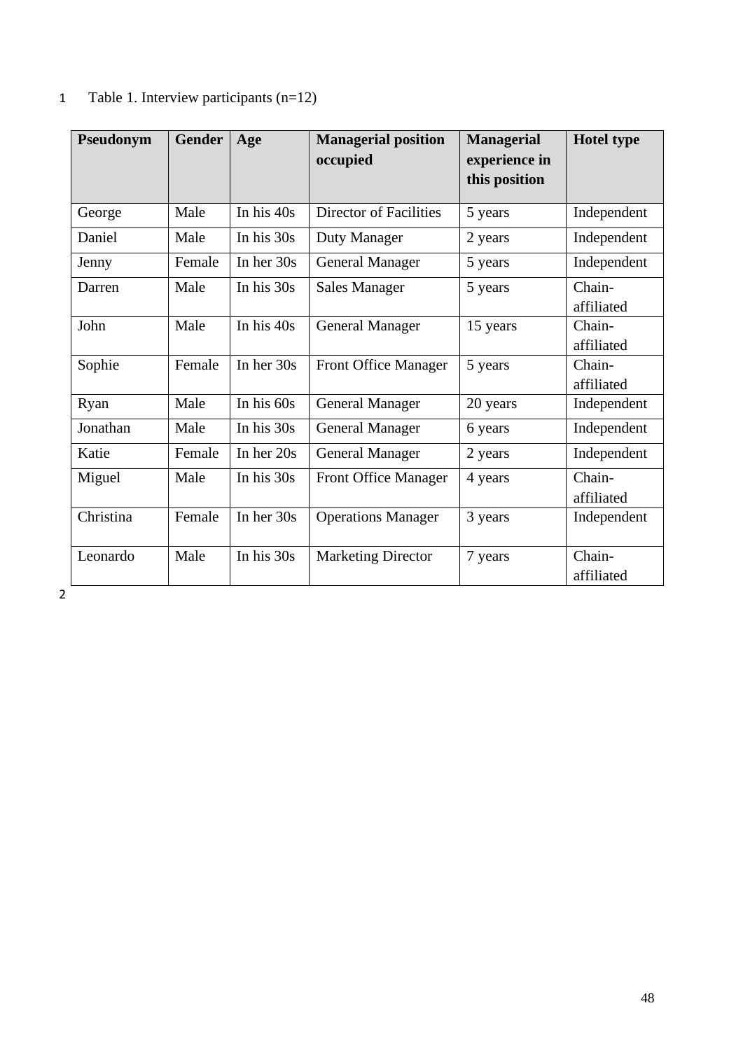| Pseudonym | <b>Gender</b> | Age          | <b>Managerial position</b><br>occupied | <b>Managerial</b><br>experience in<br>this position | <b>Hotel type</b>    |
|-----------|---------------|--------------|----------------------------------------|-----------------------------------------------------|----------------------|
| George    | Male          | In his $40s$ | Director of Facilities                 | 5 years                                             | Independent          |
| Daniel    | Male          | In his $30s$ | Duty Manager                           | 2 years                                             | Independent          |
| Jenny     | Female        | In her $30s$ | <b>General Manager</b>                 | 5 years                                             | Independent          |
| Darren    | Male          | In his $30s$ | <b>Sales Manager</b>                   | 5 years                                             | Chain-<br>affiliated |
| John      | Male          | In his $40s$ | <b>General Manager</b>                 | 15 years                                            | Chain-<br>affiliated |
| Sophie    | Female        | In her 30s   | <b>Front Office Manager</b>            | 5 years                                             | Chain-<br>affiliated |
| Ryan      | Male          | In his $60s$ | <b>General Manager</b>                 | 20 years                                            | Independent          |
| Jonathan  | Male          | In his 30s   | <b>General Manager</b>                 | 6 years                                             | Independent          |
| Katie     | Female        | In her $20s$ | <b>General Manager</b>                 | 2 years                                             | Independent          |
| Miguel    | Male          | In his $30s$ | Front Office Manager                   | 4 years                                             | Chain-<br>affiliated |
| Christina | Female        | In her 30s   | <b>Operations Manager</b>              | 3 years                                             | Independent          |
| Leonardo  | Male          | In his 30s   | <b>Marketing Director</b>              | 7 years                                             | Chain-<br>affiliated |

# 1 Table 1. Interview participants (n=12)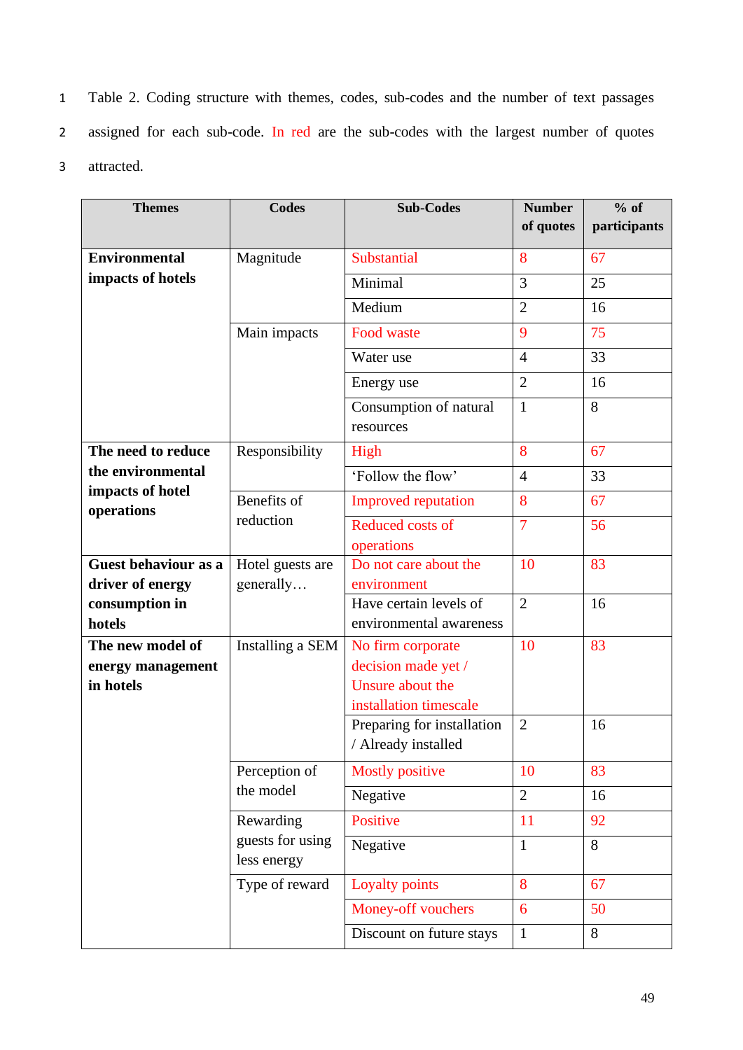1 Table 2. Coding structure with themes, codes, sub-codes and the number of text passages 2 assigned for each sub-code. In red are the sub-codes with the largest number of quotes 3 attracted.

| <b>Themes</b>                  | <b>Codes</b>                    | <b>Sub-Codes</b>           | <b>Number</b>  | $%$ of       |
|--------------------------------|---------------------------------|----------------------------|----------------|--------------|
|                                |                                 |                            | of quotes      | participants |
| <b>Environmental</b>           | Magnitude                       | Substantial                | 8              | 67           |
| impacts of hotels              |                                 | Minimal                    | 3              | 25           |
|                                |                                 | Medium                     | $\overline{2}$ | 16           |
|                                | Main impacts                    | Food waste                 | 9              | 75           |
|                                |                                 | Water use                  | $\overline{4}$ | 33           |
|                                |                                 | Energy use                 | $\overline{2}$ | 16           |
|                                |                                 | Consumption of natural     | $\mathbf{1}$   | 8            |
|                                |                                 | resources                  |                |              |
| The need to reduce             | Responsibility                  | High                       | 8              | 67           |
| the environmental              |                                 | 'Follow the flow'          | $\overline{4}$ | 33           |
| impacts of hotel<br>operations | Benefits of<br>reduction        | <b>Improved reputation</b> | 8              | 67           |
|                                |                                 | Reduced costs of           | $\overline{7}$ | 56           |
|                                |                                 | operations                 |                |              |
| Guest behaviour as a           | Hotel guests are                | Do not care about the      | 10             | 83           |
| driver of energy               | generally                       | environment                |                |              |
| consumption in                 |                                 | Have certain levels of     | $\overline{2}$ | 16           |
| hotels                         |                                 | environmental awareness    |                |              |
| The new model of               | Installing a SEM                | No firm corporate          | 10             | 83           |
| energy management              |                                 | decision made yet /        |                |              |
| in hotels                      |                                 | Unsure about the           |                |              |
|                                |                                 | installation timescale     |                |              |
|                                |                                 | Preparing for installation | $\overline{2}$ | 16           |
|                                |                                 | / Already installed        |                |              |
|                                | Perception of                   | <b>Mostly positive</b>     | 10             | 83           |
|                                | the model                       | Negative                   | $\overline{2}$ | 16           |
|                                | Rewarding                       | Positive                   | 11             | 92           |
|                                | guests for using<br>less energy | Negative                   | $\mathbf{1}$   | 8            |
|                                | Type of reward                  | Loyalty points             | 8              | 67           |
|                                |                                 | Money-off vouchers         | 6              | 50           |
|                                |                                 | Discount on future stays   | $\mathbf{1}$   | 8            |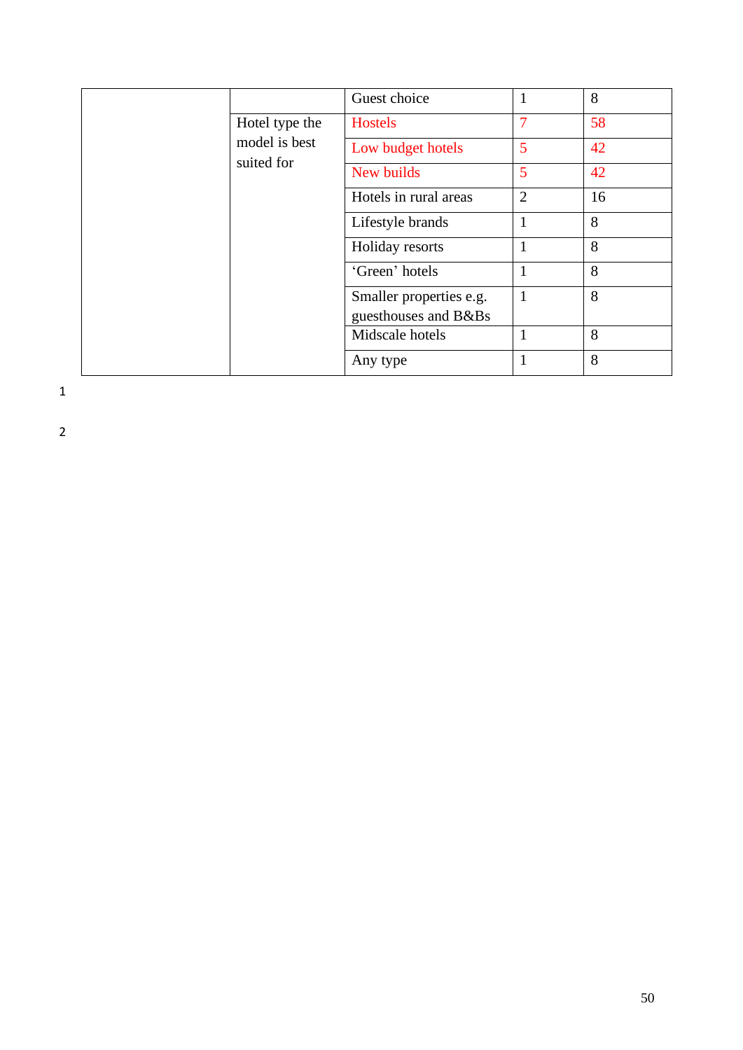|  |                                               | Guest choice            |                | 8  |
|--|-----------------------------------------------|-------------------------|----------------|----|
|  | Hotel type the<br>model is best<br>suited for | <b>Hostels</b>          |                | 58 |
|  |                                               | Low budget hotels       | 5              | 42 |
|  |                                               | New builds              | 5              | 42 |
|  |                                               | Hotels in rural areas   | $\overline{2}$ | 16 |
|  |                                               | Lifestyle brands        | 1              | 8  |
|  |                                               | Holiday resorts         | $\mathbf{1}$   | 8  |
|  |                                               | 'Green' hotels          | 1              | 8  |
|  |                                               | Smaller properties e.g. | $\mathbf{1}$   | 8  |
|  |                                               | guesthouses and B&Bs    |                |    |
|  |                                               | Midscale hotels         | 1              | 8  |
|  |                                               | Any type                |                | 8  |

1